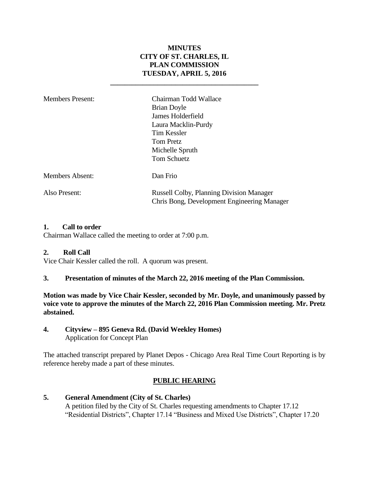# **MINUTES CITY OF ST. CHARLES, IL PLAN COMMISSION TUESDAY, APRIL 5, 2016**

**\_\_\_\_\_\_\_\_\_\_\_\_\_\_\_\_\_\_\_\_\_\_\_\_\_\_\_\_\_\_\_\_\_\_\_\_\_\_\_\_\_**

| <b>Members Present:</b> | Chairman Todd Wallace<br><b>Brian Doyle</b><br>James Holderfield<br>Laura Macklin-Purdy<br><b>Tim Kessler</b><br><b>Tom Pretz</b><br>Michelle Spruth |
|-------------------------|------------------------------------------------------------------------------------------------------------------------------------------------------|
| <b>Members Absent:</b>  | Tom Schuetz<br>Dan Frio                                                                                                                              |
| Also Present:           | <b>Russell Colby, Planning Division Manager</b><br>Chris Bong, Development Engineering Manager                                                       |

#### **1. Call to order**

Chairman Wallace called the meeting to order at 7:00 p.m.

#### **2. Roll Call**

Vice Chair Kessler called the roll. A quorum was present.

**3. Presentation of minutes of the March 22, 2016 meeting of the Plan Commission.**

**Motion was made by Vice Chair Kessler, seconded by Mr. Doyle, and unanimously passed by voice vote to approve the minutes of the March 22, 2016 Plan Commission meeting. Mr. Pretz abstained.**

**4. Cityview – 895 Geneva Rd. (David Weekley Homes)** Application for Concept Plan

The attached transcript prepared by Planet Depos - Chicago Area Real Time Court Reporting is by reference hereby made a part of these minutes.

## **PUBLIC HEARING**

#### **5. General Amendment (City of St. Charles)**  A petition filed by the City of St. Charles requesting amendments to Chapter 17.12 "Residential Districts", Chapter 17.14 "Business and Mixed Use Districts", Chapter 17.20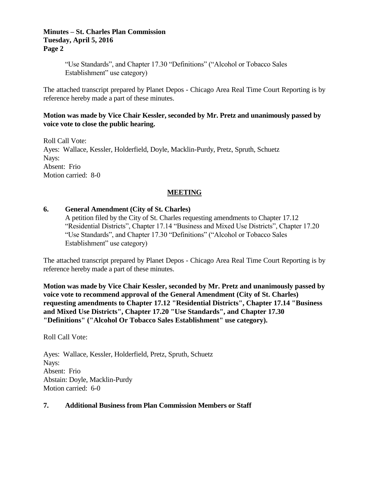#### **Minutes – St. Charles Plan Commission Tuesday, April 5, 2016 Page 2**

"Use Standards", and Chapter 17.30 "Definitions" ("Alcohol or Tobacco Sales Establishment" use category)

The attached transcript prepared by Planet Depos - Chicago Area Real Time Court Reporting is by reference hereby made a part of these minutes.

## **Motion was made by Vice Chair Kessler, seconded by Mr. Pretz and unanimously passed by voice vote to close the public hearing.**

Roll Call Vote: Ayes: Wallace, Kessler, Holderfield, Doyle, Macklin-Purdy, Pretz, Spruth, Schuetz Nays: Absent: Frio Motion carried: 8-0

# **MEETING**

## **6. General Amendment (City of St. Charles)**

A petition filed by the City of St. Charles requesting amendments to Chapter 17.12 "Residential Districts", Chapter 17.14 "Business and Mixed Use Districts", Chapter 17.20 "Use Standards", and Chapter 17.30 "Definitions" ("Alcohol or Tobacco Sales Establishment" use category)

The attached transcript prepared by Planet Depos - Chicago Area Real Time Court Reporting is by reference hereby made a part of these minutes.

## **Motion was made by Vice Chair Kessler, seconded by Mr. Pretz and unanimously passed by voice vote to recommend approval of the General Amendment (City of St. Charles) requesting amendments to Chapter 17.12 "Residential Districts", Chapter 17.14 "Business and Mixed Use Districts", Chapter 17.20 "Use Standards", and Chapter 17.30 "Definitions" ("Alcohol Or Tobacco Sales Establishment" use category).**

Roll Call Vote:

Ayes: Wallace, Kessler, Holderfield, Pretz, Spruth, Schuetz Nays: Absent: Frio Abstain: Doyle, Macklin-Purdy Motion carried: 6-0

#### **7. Additional Business from Plan Commission Members or Staff**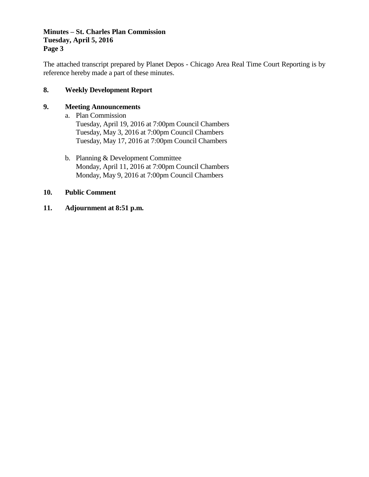## **Minutes – St. Charles Plan Commission Tuesday, April 5, 2016 Page 3**

The attached transcript prepared by Planet Depos - Chicago Area Real Time Court Reporting is by reference hereby made a part of these minutes.

## **8. Weekly Development Report**

## **9. Meeting Announcements**

- a. Plan Commission Tuesday, April 19, 2016 at 7:00pm Council Chambers Tuesday, May 3, 2016 at 7:00pm Council Chambers Tuesday, May 17, 2016 at 7:00pm Council Chambers
- b. Planning & Development Committee Monday, April 11, 2016 at 7:00pm Council Chambers Monday, May 9, 2016 at 7:00pm Council Chambers

#### **10. Public Comment**

**11. Adjournment at 8:51 p.m.**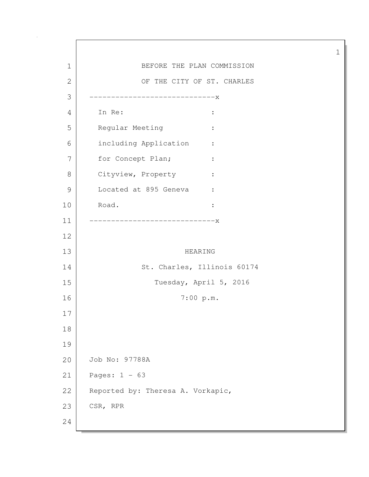1 BEFORE THE PLAN COMMISSION 2 OF THE CITY OF ST. CHARLES -----------------------------x In Re: : 5 Regular Meeting : including Application : 7 for Concept Plan; : 8 Cityview, Property : 9 Located at 895 Geneva : Road. : -----------------------------x HEARING 14 St. Charles, Illinois 60174 Tuesday, April 5, 2016 7:00 p.m. Job No: 97788A Pages: 1 - 63 22 Reported by: Theresa A. Vorkapic, 23 CSR, RPR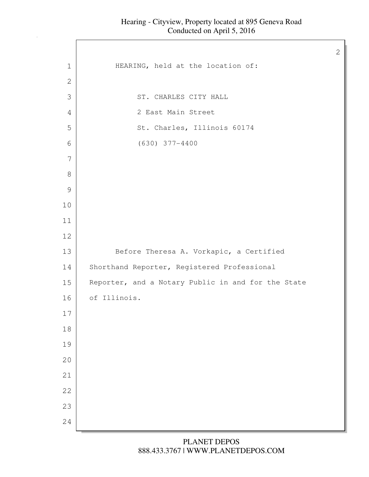| $\mathbf 1$   | HEARING, held at the location of:                  |
|---------------|----------------------------------------------------|
| $\mathbf{2}$  |                                                    |
| 3             | ST. CHARLES CITY HALL                              |
| 4             | 2 East Main Street                                 |
| 5             | St. Charles, Illinois 60174                        |
| 6             | $(630)$ 377-4400                                   |
| 7             |                                                    |
| $8\,$         |                                                    |
| $\mathcal{G}$ |                                                    |
| $10$          |                                                    |
| 11            |                                                    |
| 12            |                                                    |
| 13            | Before Theresa A. Vorkapic, a Certified            |
| 14            | Shorthand Reporter, Registered Professional        |
| 15            | Reporter, and a Notary Public in and for the State |
| 16            | of Illinois.                                       |
| 17            |                                                    |
| 18            |                                                    |
| 19            |                                                    |
| 20            |                                                    |
| 21            |                                                    |
| 22            |                                                    |
| 23            |                                                    |
| 24            |                                                    |
|               |                                                    |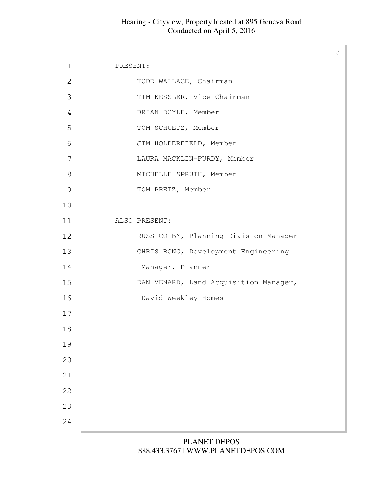Г

| 1  | PRESENT: |                                       |
|----|----------|---------------------------------------|
| 2  |          | TODD WALLACE, Chairman                |
| 3  |          | TIM KESSLER, Vice Chairman            |
| 4  |          | BRIAN DOYLE, Member                   |
| 5  |          | TOM SCHUETZ, Member                   |
| 6  |          | JIM HOLDERFIELD, Member               |
| 7  |          | LAURA MACKLIN-PURDY, Member           |
| 8  |          | MICHELLE SPRUTH, Member               |
| 9  |          | TOM PRETZ, Member                     |
| 10 |          |                                       |
| 11 |          | ALSO PRESENT:                         |
| 12 |          | RUSS COLBY, Planning Division Manager |
| 13 |          | CHRIS BONG, Development Engineering   |
| 14 |          | Manager, Planner                      |
| 15 |          | DAN VENARD, Land Acquisition Manager, |
| 16 |          | David Weekley Homes                   |
| 17 |          |                                       |
| 18 |          |                                       |
| 19 |          |                                       |
| 20 |          |                                       |
| 21 |          |                                       |
| 22 |          |                                       |
| 23 |          |                                       |
| 24 |          |                                       |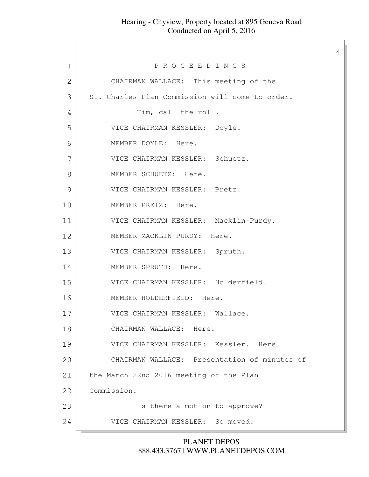|              |                                                 | 4 |
|--------------|-------------------------------------------------|---|
| $\mathbf 1$  | PROCEEDINGS                                     |   |
| $\mathbf{2}$ | CHAIRMAN WALLACE: This meeting of the           |   |
| 3            | St. Charles Plan Commission will come to order. |   |
| 4            | Tim, call the roll.                             |   |
| 5            | VICE CHAIRMAN KESSLER: Doyle.                   |   |
| 6            | MEMBER DOYLE: Here.                             |   |
| 7            | VICE CHAIRMAN KESSLER: Schuetz.                 |   |
| 8            | MEMBER SCHUETZ: Here.                           |   |
| 9            | VICE CHAIRMAN KESSLER: Pretz.                   |   |
| 10           | MEMBER PRETZ: Here.                             |   |
| 11           | VICE CHAIRMAN KESSLER: Macklin-Purdy.           |   |
| 12           | MEMBER MACKLIN-PURDY: Here.                     |   |
| 13           | VICE CHAIRMAN KESSLER: Spruth.                  |   |
| 14           | MEMBER SPRUTH: Here.                            |   |
| 15           | VICE CHAIRMAN KESSLER: Holderfield.             |   |
| 16           | MEMBER HOLDERFIELD: Here.                       |   |
| 17           | VICE CHAIRMAN KESSLER: Wallace.                 |   |
| 18           | CHAIRMAN WALLACE: Here.                         |   |
| 19           | VICE CHAIRMAN KESSLER: Kessler. Here.           |   |
| 20           | CHAIRMAN WALLACE: Presentation of minutes of    |   |
| 21           | the March 22nd 2016 meeting of the Plan         |   |
| 22           | Commission.                                     |   |
| 23           | Is there a motion to approve?                   |   |
| 24           | VICE CHAIRMAN KESSLER: So moved.                |   |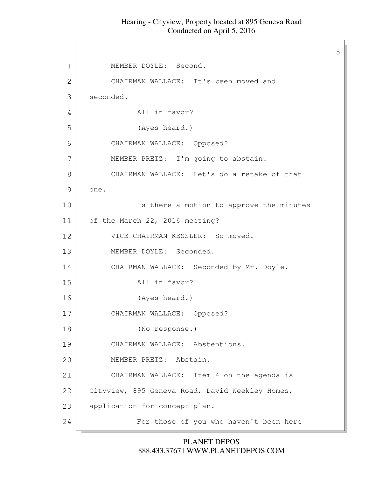5

1 | MEMBER DOYLE: Second. 2 CHAIRMAN WALLACE: It's been moved and 3 seconded. 4 All in favor? 5 (Ayes heard.) 6 CHAIRMAN WALLACE: Opposed? 7 | MEMBER PRETZ: I'm going to abstain. 8 CHAIRMAN WALLACE: Let's do a retake of that 9 one. 10 | Ts there a motion to approve the minutes 11 of the March 22, 2016 meeting? 12 VICE CHAIRMAN KESSLER: So moved. 13 MEMBER DOYLE: Seconded. 14 CHAIRMAN WALLACE: Seconded by Mr. Doyle. 15 All in favor? 16 (Ayes heard.) 17 CHAIRMAN WALLACE: Opposed? 18 (No response.) 19 CHAIRMAN WALLACE: Abstentions. 20 MEMBER PRETZ: Abstain. 21 CHAIRMAN WALLACE: Item 4 on the agenda is 22 Cityview, 895 Geneva Road, David Weekley Homes, 23 application for concept plan. 24 For those of you who haven't been here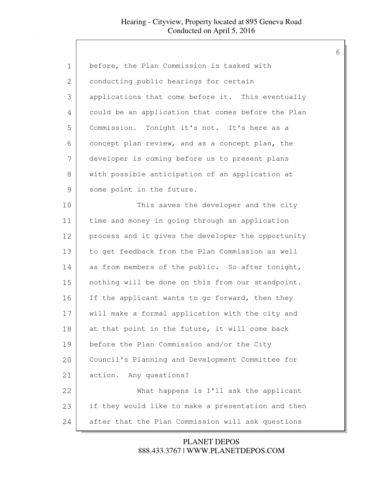| $\mathbf 1$   | before, the Plan Commission is tasked with         |
|---------------|----------------------------------------------------|
| 2             | conducting public hearings for certain             |
| 3             | applications that come before it. This eventually  |
| 4             | could be an application that comes before the Plan |
| 5             | Commission. Tonight it's not. It's here as a       |
| 6             | concept plan review, and as a concept plan, the    |
| 7             | developer is coming before us to present plans     |
| 8             | with possible anticipation of an application at    |
| $\mathcal{G}$ | some point in the future.                          |
| 10            | This saves the developer and the city              |
| 11            | time and money in going through an application     |
| 12            | process and it gives the developer the opportunity |
| 13            | to get feedback from the Plan Commission as well   |
| 14            | as from members of the public. So after tonight,   |
| 15            | nothing will be done on this from our standpoint.  |
| 16            | If the applicant wants to go forward, then they    |
| 17            | will make a formal application with the city and   |
| 18            | at that point in the future, it will come back     |
| 19            | before the Plan Commission and/or the City         |
| 20            | Council's Planning and Development Committee for   |
| 21            | Any questions?<br>action.                          |
| 22            | What happens is I'll ask the applicant             |
| 23            | if they would like to make a presentation and then |
| 24            | after that the Plan Commission will ask questions  |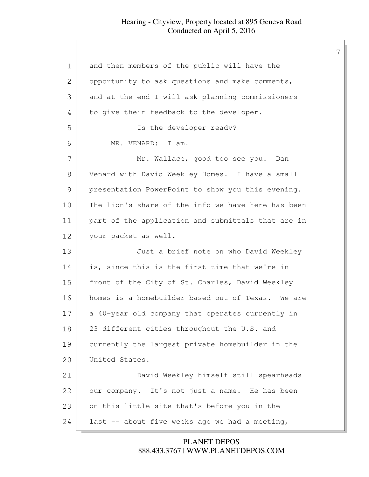| 1             | and then members of the public will have the       |
|---------------|----------------------------------------------------|
| 2             | opportunity to ask questions and make comments,    |
| 3             | and at the end I will ask planning commissioners   |
| 4             | to give their feedback to the developer.           |
| 5             | Is the developer ready?                            |
| 6             | MR. VENARD: I am.                                  |
| 7             | Mr. Wallace, good too see you. Dan                 |
| $8\,$         | Venard with David Weekley Homes. I have a small    |
| $\mathcal{G}$ | presentation PowerPoint to show you this evening.  |
| 10            | The lion's share of the info we have here has been |
| 11            | part of the application and submittals that are in |
| 12            | your packet as well.                               |
| 13            | Just a brief note on who David Weekley             |
| 14            | is, since this is the first time that we're in     |
| 15            | front of the City of St. Charles, David Weekley    |
| 16            | homes is a homebuilder based out of Texas. We are  |
| 17            | a 40-year old company that operates currently in   |
| 18            | 23 different cities throughout the U.S. and        |
| 19            | currently the largest private homebuilder in the   |
| 20            | United States.                                     |
| 21            | David Weekley himself still spearheads             |
| 22            | our company. It's not just a name. He has been     |
| 23            | on this little site that's before you in the       |
| 24            | last -- about five weeks ago we had a meeting,     |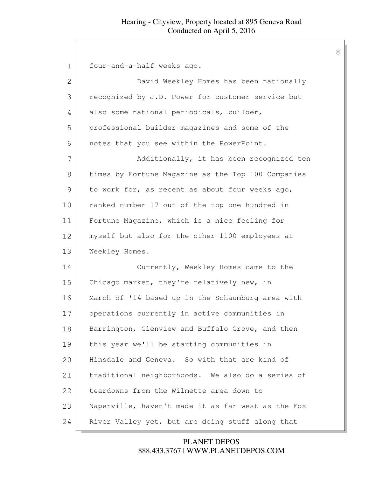| $\mathbf 1$ | four-and-a-half weeks ago.                         |
|-------------|----------------------------------------------------|
| 2           | David Weekley Homes has been nationally            |
| 3           | recognized by J.D. Power for customer service but  |
| 4           | also some national periodicals, builder,           |
| 5           | professional builder magazines and some of the     |
| 6           | notes that you see within the PowerPoint.          |
| 7           | Additionally, it has been recognized ten           |
| 8           | times by Fortune Magazine as the Top 100 Companies |
| 9           | to work for, as recent as about four weeks ago,    |
| 10          | ranked number 17 out of the top one hundred in     |
| 11          | Fortune Magazine, which is a nice feeling for      |
| 12          | myself but also for the other 1100 employees at    |
| 13          | Weekley Homes.                                     |
| 14          | Currently, Weekley Homes came to the               |
| 15          | Chicago market, they're relatively new, in         |
| 16          | March of '14 based up in the Schaumburg area with  |
| 17          | operations currently in active communities in      |
| 18          | Barrington, Glenview and Buffalo Grove, and then   |
| 19          | this year we'll be starting communities in         |
| 20          | Hinsdale and Geneva. So with that are kind of      |
| 21          | traditional neighborhoods. We also do a series of  |
| 22          | teardowns from the Wilmette area down to           |
| 23          | Naperville, haven't made it as far west as the Fox |
| 24          | River Valley yet, but are doing stuff along that   |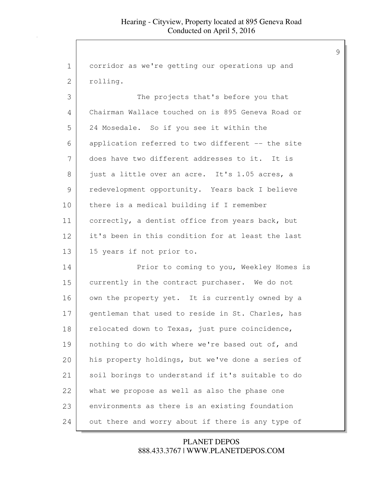| 1             | corridor as we're getting our operations up and   |
|---------------|---------------------------------------------------|
| 2             | rolling.                                          |
| 3             | The projects that's before you that               |
| 4             | Chairman Wallace touched on is 895 Geneva Road or |
| 5             | 24 Mosedale. So if you see it within the          |
| 6             | application referred to two different -- the site |
| 7             | does have two different addresses to it. It is    |
| 8             | just a little over an acre. It's 1.05 acres, a    |
| $\mathcal{G}$ | redevelopment opportunity. Years back I believe   |
| 10            | there is a medical building if I remember         |
| 11            | correctly, a dentist office from years back, but  |
| 12            | it's been in this condition for at least the last |
| 13            | 15 years if not prior to.                         |
| 14            | Prior to coming to you, Weekley Homes is          |
| 15            | currently in the contract purchaser. We do not    |
| 16            | own the property yet. It is currently owned by a  |
| 17            | gentleman that used to reside in St. Charles, has |
| 18            | relocated down to Texas, just pure coincidence,   |
| 19            | nothing to do with where we're based out of, and  |
| 20            | his property holdings, but we've done a series of |
| 21            | soil borings to understand if it's suitable to do |
| 22            | what we propose as well as also the phase one     |
| 23            | environments as there is an existing foundation   |
| 24            | out there and worry about if there is any type of |

# 888.433.3767 | WWW.PLANETDEPOS.COM PLANET DEPOS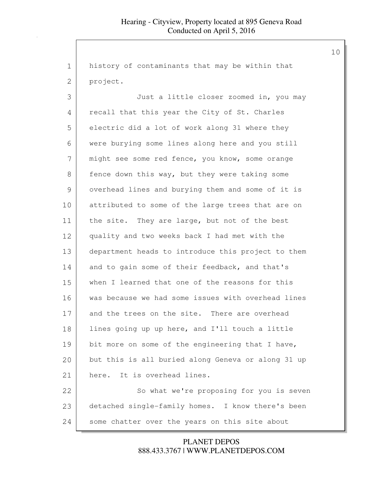1 history of contaminants that may be within that 2 project. 3 Just a little closer zoomed in, you may 4 recall that this year the City of St. Charles 5 electric did a lot of work along 31 where they 6 were burying some lines along here and you still 7 might see some red fence, you know, some orange 8 fence down this way, but they were taking some 9 overhead lines and burying them and some of it is 10 attributed to some of the large trees that are on 11 | the site. They are large, but not of the best 12 quality and two weeks back I had met with the 13 department heads to introduce this project to them 14 and to gain some of their feedback, and that's 15 when I learned that one of the reasons for this 16 was because we had some issues with overhead lines 17 and the trees on the site. There are overhead 18 | lines going up up here, and I'll touch a little 19 bit more on some of the engineering that I have, 20 but this is all buried along Geneva or along 31 up 21 here. It is overhead lines. 22 So what we're proposing for you is seven 23 detached single-family homes. I know there's been 24 some chatter over the years on this site about

> 888.433.3767 | WWW.PLANETDEPOS.COM PLANET DEPOS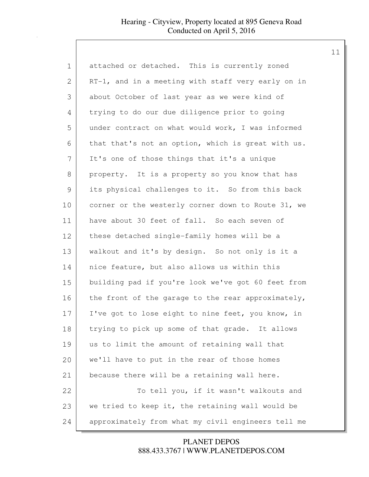| $\mathbf 1$   | attached or detached. This is currently zoned      |
|---------------|----------------------------------------------------|
| $\mathbf{2}$  | RT-1, and in a meeting with staff very early on in |
| 3             | about October of last year as we were kind of      |
| 4             | trying to do our due diligence prior to going      |
| 5             | under contract on what would work, I was informed  |
| 6             | that that's not an option, which is great with us. |
| 7             | It's one of those things that it's a unique        |
| 8             | property. It is a property so you know that has    |
| $\mathcal{G}$ | its physical challenges to it. So from this back   |
| $10$          | corner or the westerly corner down to Route 31, we |
| 11            | have about 30 feet of fall. So each seven of       |
| 12            | these detached single-family homes will be a       |
| 13            | walkout and it's by design. So not only is it a    |
| 14            | nice feature, but also allows us within this       |
| 15            | building pad if you're look we've got 60 feet from |
| 16            | the front of the garage to the rear approximately, |
| 17            | I've got to lose eight to nine feet, you know, in  |
| 18            | trying to pick up some of that grade. It allows    |
| 19            | us to limit the amount of retaining wall that      |
| 20            | we'll have to put in the rear of those homes       |
| 21            | because there will be a retaining wall here.       |
| 22            | To tell you, if it wasn't walkouts and             |
| 23            | we tried to keep it, the retaining wall would be   |
| 24            | approximately from what my civil engineers tell me |

888.433.3767 | WWW.PLANETDEPOS.COM PLANET DEPOS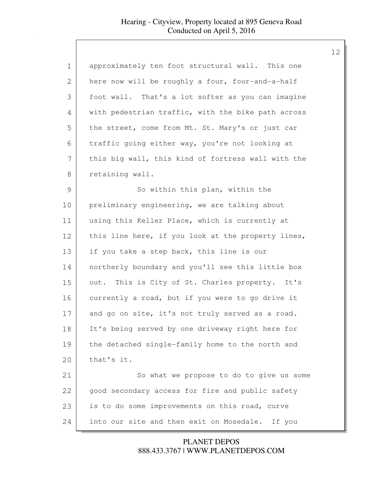| 1  | approximately ten foot structural wall. This one   |
|----|----------------------------------------------------|
| 2  | here now will be roughly a four, four-and-a-half   |
| 3  | foot wall. That's a lot softer as you can imagine  |
| 4  | with pedestrian traffic, with the bike path across |
| 5  | the street, come from Mt. St. Mary's or just car   |
| 6  | traffic going either way, you're not looking at    |
| 7  | this big wall, this kind of fortress wall with the |
| 8  | retaining wall.                                    |
| 9  | So within this plan, within the                    |
| 10 | preliminary engineering, we are talking about      |
| 11 | using this Keller Place, which is currently at     |
| 12 | this line here, if you look at the property lines, |
| 13 | if you take a step back, this line is our          |
| 14 | northerly boundary and you'll see this little box  |
| 15 | out. This is City of St. Charles property. It's    |
| 16 | currently a road, but if you were to go drive it   |
| 17 | and go on site, it's not truly served as a road.   |
| 18 | It's being served by one driveway right here for   |
| 19 | the detached single-family home to the north and   |
| 20 | that's it.                                         |
| 21 | So what we propose to do to give us some           |
| 22 | good secondary access for fire and public safety   |
| 23 | is to do some improvements on this road, curve     |
| 24 | into our site and then exit on Mosedale.<br>If you |

888.433.3767 | WWW.PLANETDEPOS.COM PLANET DEPOS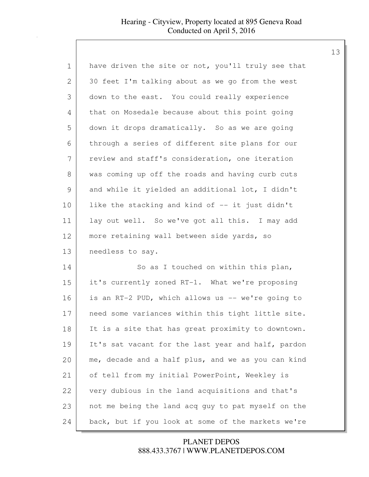| $\mathbf 1$   | have driven the site or not, you'll truly see that |
|---------------|----------------------------------------------------|
| 2             | 30 feet I'm talking about as we go from the west   |
| 3             | down to the east. You could really experience      |
| 4             | that on Mosedale because about this point going    |
| 5             | down it drops dramatically. So as we are going     |
| 6             | through a series of different site plans for our   |
| 7             | review and staff's consideration, one iteration    |
| 8             | was coming up off the roads and having curb cuts   |
| $\mathcal{G}$ | and while it yielded an additional lot, I didn't   |
| 10            | like the stacking and kind of -- it just didn't    |
| 11            | lay out well. So we've got all this. I may add     |
| 12            | more retaining wall between side yards, so         |
| 13            | needless to say.                                   |
| 14            | So as I touched on within this plan,               |
| 15            | it's currently zoned RT-1. What we're proposing    |
| 16            | is an RT-2 PUD, which allows us -- we're going to  |
| 17            | need some variances within this tight little site. |
| 18            | It is a site that has great proximity to downtown. |
| 19            | It's sat vacant for the last year and half, pardon |
| 20            | me, decade and a half plus, and we as you can kind |
| 21            | of tell from my initial PowerPoint, Weekley is     |
| 22            | very dubious in the land acquisitions and that's   |
| 23            | not me being the land acq guy to pat myself on the |
| 24            | back, but if you look at some of the markets we're |

# 888.433.3767 | WWW.PLANETDEPOS.COM PLANET DEPOS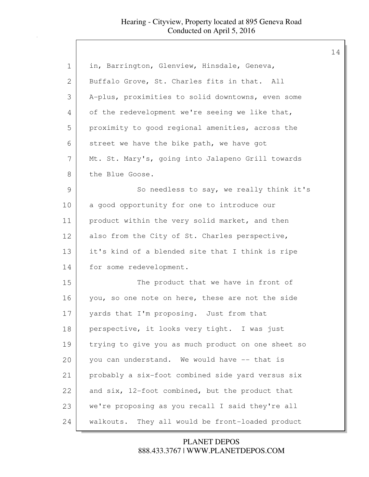| 1             | in, Barrington, Glenview, Hinsdale, Geneva,        |
|---------------|----------------------------------------------------|
| 2             | Buffalo Grove, St. Charles fits in that. All       |
| 3             | A-plus, proximities to solid downtowns, even some  |
| 4             | of the redevelopment we're seeing we like that,    |
| 5             | proximity to good regional amenities, across the   |
| 6             | street we have the bike path, we have got          |
| 7             | Mt. St. Mary's, going into Jalapeno Grill towards  |
| 8             | the Blue Goose.                                    |
| $\mathcal{G}$ | So needless to say, we really think it's           |
| 10            | a good opportunity for one to introduce our        |
| 11            | product within the very solid market, and then     |
| 12            | also from the City of St. Charles perspective,     |
| 13            | it's kind of a blended site that I think is ripe   |
| 14            | for some redevelopment.                            |
| 15            | The product that we have in front of               |
| 16            | you, so one note on here, these are not the side   |
| 17            | yards that I'm proposing. Just from that           |
| 18            | perspective, it looks very tight. I was just       |
| 19            | trying to give you as much product on one sheet so |
| 20            | you can understand. We would have -- that is       |
| 21            | probably a six-foot combined side yard versus six  |
| 22            | and six, 12-foot combined, but the product that    |
| 23            | we're proposing as you recall I said they're all   |
| 24            | walkouts. They all would be front-loaded product   |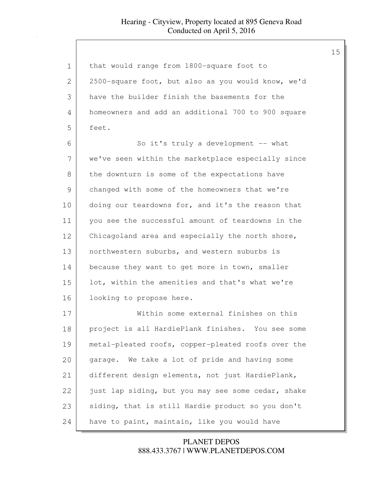| 1             | that would range from 1800-square foot to          |
|---------------|----------------------------------------------------|
| 2             | 2500-square foot, but also as you would know, we'd |
| 3             | have the builder finish the basements for the      |
| 4             | homeowners and add an additional 700 to 900 square |
| 5             | feet.                                              |
| 6             | So it's truly a development -- what                |
| 7             | we've seen within the marketplace especially since |
| 8             | the downturn is some of the expectations have      |
| $\mathcal{G}$ | changed with some of the homeowners that we're     |
| 10            | doing our teardowns for, and it's the reason that  |
| 11            | you see the successful amount of teardowns in the  |
| 12            | Chicagoland area and especially the north shore,   |
| 13            | northwestern suburbs, and western suburbs is       |
| 14            | because they want to get more in town, smaller     |
| 15            | lot, within the amenities and that's what we're    |
| 16            | looking to propose here.                           |
| 17            | Within some external finishes on this              |
| 18            | project is all HardiePlank finishes. You see some  |
| 19            | metal-pleated roofs, copper-pleated roofs over the |
| 20            | garage. We take a lot of pride and having some     |
| 21            | different design elements, not just HardiePlank,   |
| 22            | just lap siding, but you may see some cedar, shake |
| 23            | siding, that is still Hardie product so you don't  |
| 24            | have to paint, maintain, like you would have       |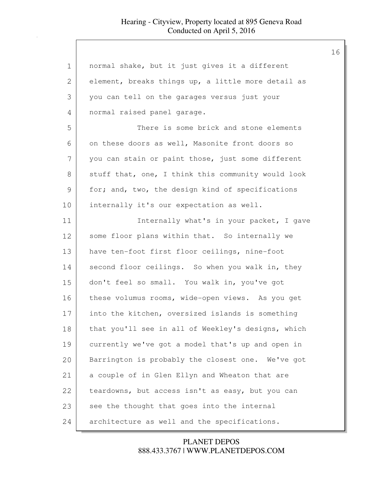| $\mathbf 1$   | normal shake, but it just gives it a different     |
|---------------|----------------------------------------------------|
| $\mathbf{2}$  | element, breaks things up, a little more detail as |
| 3             | you can tell on the garages versus just your       |
| 4             | normal raised panel garage.                        |
| 5             | There is some brick and stone elements             |
| 6             | on these doors as well, Masonite front doors so    |
| 7             | you can stain or paint those, just some different  |
| $8\,$         | stuff that, one, I think this community would look |
| $\mathcal{G}$ | for; and, two, the design kind of specifications   |
| 10            | internally it's our expectation as well.           |
| 11            | Internally what's in your packet, I gave           |
| 12            | some floor plans within that. So internally we     |
| 13            | have ten-foot first floor ceilings, nine-foot      |
| 14            | second floor ceilings. So when you walk in, they   |
| 15            | don't feel so small. You walk in, you've got       |
| 16            | these volumus rooms, wide-open views. As you get   |
| 17            | into the kitchen, oversized islands is something   |
| 18            | that you'll see in all of Weekley's designs, which |
| 19            | currently we've got a model that's up and open in  |
| 20            | Barrington is probably the closest one. We've got  |
| 21            | a couple of in Glen Ellyn and Wheaton that are     |
| 22            | teardowns, but access isn't as easy, but you can   |
| 23            | see the thought that goes into the internal        |
| 24            | architecture as well and the specifications.       |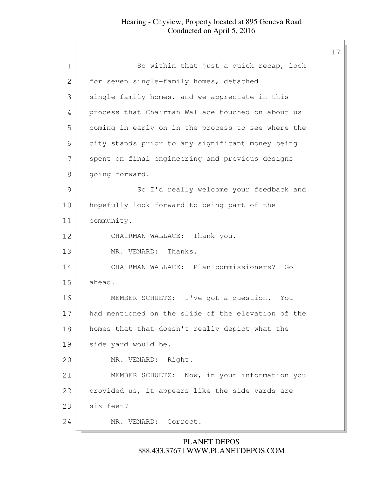| 1  | So within that just a quick recap, look            |
|----|----------------------------------------------------|
| 2  | for seven single-family homes, detached            |
| 3  | single-family homes, and we appreciate in this     |
| 4  | process that Chairman Wallace touched on about us  |
| 5  | coming in early on in the process to see where the |
| 6  | city stands prior to any significant money being   |
| 7  | spent on final engineering and previous designs    |
| 8  | going forward.                                     |
| 9  | So I'd really welcome your feedback and            |
| 10 | hopefully look forward to being part of the        |
| 11 | community.                                         |
| 12 | CHAIRMAN WALLACE: Thank you.                       |
| 13 | MR. VENARD: Thanks.                                |
| 14 | CHAIRMAN WALLACE: Plan commissioners? Go           |
| 15 | ahead.                                             |
| 16 | MEMBER SCHUETZ: I've got a question.<br>You        |
| 17 | had mentioned on the slide of the elevation of the |
| 18 | homes that that doesn't really depict what the     |
| 19 | side yard would be.                                |
| 20 | MR. VENARD: Right.                                 |
| 21 | MEMBER SCHUETZ: Now, in your information you       |
| 22 | provided us, it appears like the side yards are    |
| 23 | six feet?                                          |
| 24 | MR. VENARD:<br>Correct.                            |

# 888.433.3767 | WWW.PLANETDEPOS.COM PLANET DEPOS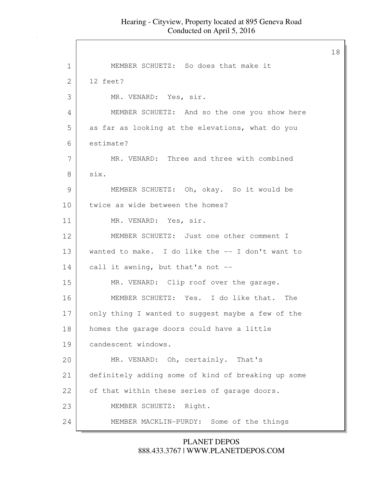18

1 | MEMBER SCHUETZ: So does that make it 2 12 feet? 3 MR. VENARD: Yes, sir. 4 MEMBER SCHUETZ: And so the one you show here 5 as far as looking at the elevations, what do you 6 estimate? 7 MR. VENARD: Three and three with combined 8 six. 9 MEMBER SCHUETZ: Oh, okay. So it would be 10 twice as wide between the homes? 11 MR. VENARD: Yes, sir. 12 MEMBER SCHUETZ: Just one other comment I 13 wanted to make. I do like the -- I don't want to 14 | call it awning, but that's not --15 MR. VENARD: Clip roof over the garage. 16 MEMBER SCHUETZ: Yes. I do like that. The 17 only thing I wanted to suggest maybe a few of the 18 | homes the garage doors could have a little 19 candescent windows. 20 MR. VENARD: Oh, certainly. That's 21 definitely adding some of kind of breaking up some 22 of that within these series of garage doors. 23 MEMBER SCHUETZ: Right. 24 MEMBER MACKLIN-PURDY: Some of the things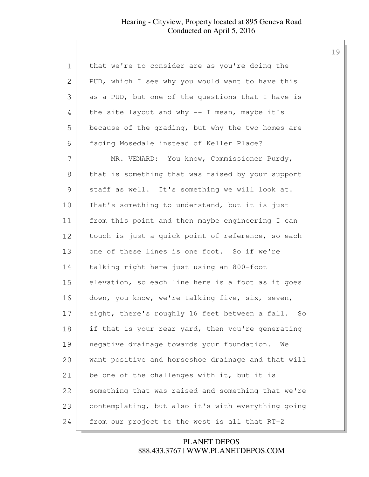| 1             | that we're to consider are as you're doing the       |
|---------------|------------------------------------------------------|
| 2             | PUD, which I see why you would want to have this     |
| 3             | as a PUD, but one of the questions that I have is    |
| 4             | the site layout and why $-$ I mean, maybe it's       |
| 5             | because of the grading, but why the two homes are    |
| 6             | facing Mosedale instead of Keller Place?             |
| 7             | MR. VENARD: You know, Commissioner Purdy,            |
| 8             | that is something that was raised by your support    |
| $\mathcal{G}$ | staff as well. It's something we will look at.       |
| 10            | That's something to understand, but it is just       |
| 11            | from this point and then maybe engineering I can     |
| 12            | touch is just a quick point of reference, so each    |
| 13            | one of these lines is one foot. So if we're          |
| 14            | talking right here just using an 800-foot            |
| 15            | elevation, so each line here is a foot as it goes    |
| 16            | down, you know, we're talking five, six, seven,      |
| 17            | eight, there's roughly 16 feet between a fall.<br>So |
| 18            | if that is your rear yard, then you're generating    |
| 19            | negative drainage towards your foundation.<br>We     |
| 20            | want positive and horseshoe drainage and that will   |
| 21            | be one of the challenges with it, but it is          |
| 22            | something that was raised and something that we're   |
| 23            | contemplating, but also it's with everything going   |
| 24            | from our project to the west is all that RT-2        |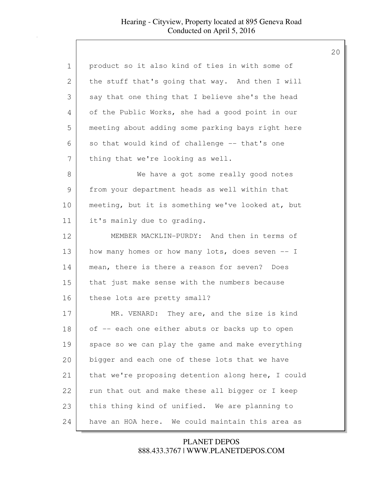| $\mathbf 1$   | product so it also kind of ties in with some of    |
|---------------|----------------------------------------------------|
| 2             | the stuff that's going that way. And then I will   |
| 3             | say that one thing that I believe she's the head   |
| 4             | of the Public Works, she had a good point in our   |
| 5             | meeting about adding some parking bays right here  |
| 6             | so that would kind of challenge -- that's one      |
| 7             | thing that we're looking as well.                  |
| 8             | We have a got some really good notes               |
| $\mathcal{G}$ | from your department heads as well within that     |
| 10            | meeting, but it is something we've looked at, but  |
| 11            | it's mainly due to grading.                        |
| 12            | MEMBER MACKLIN-PURDY: And then in terms of         |
| 13            | how many homes or how many lots, does seven -- I   |
| 14            | mean, there is there a reason for seven? Does      |
| 15            | that just make sense with the numbers because      |
| 16            | these lots are pretty small?                       |
| 17            | MR. VENARD: They are, and the size is kind         |
| 18            | of -- each one either abuts or backs up to open    |
| 19            | space so we can play the game and make everything  |
| 20            | bigger and each one of these lots that we have     |
| 21            | that we're proposing detention along here, I could |
| 22            | run that out and make these all bigger or I keep   |
| 23            | this thing kind of unified. We are planning to     |
| 24            | have an HOA here. We could maintain this area as   |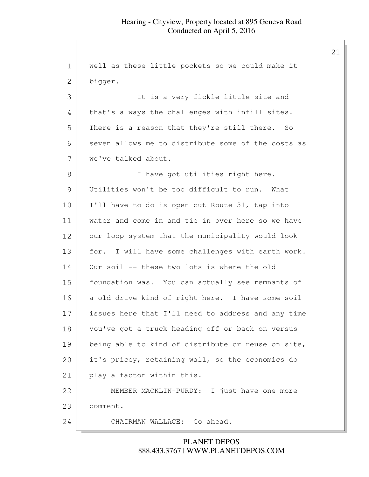| 1             | well as these little pockets so we could make it     |
|---------------|------------------------------------------------------|
| 2             | bigger.                                              |
| 3             | It is a very fickle little site and                  |
| 4             | that's always the challenges with infill sites.      |
| 5             | There is a reason that they're still there. So       |
| 6             | seven allows me to distribute some of the costs as   |
| 7             | we've talked about.                                  |
| 8             | I have got utilities right here.                     |
| $\mathcal{G}$ | Utilities won't be too difficult to run.<br>What     |
| 10            | I'll have to do is open cut Route 31, tap into       |
| 11            | water and come in and tie in over here so we have    |
| 12            | our loop system that the municipality would look     |
| 13            | I will have some challenges with earth work.<br>for. |
| 14            | Our soil -- these two lots is where the old          |
| 15            | foundation was. You can actually see remnants of     |
| 16            | a old drive kind of right here. I have some soil     |
| 17            | issues here that I'll need to address and any time   |
| 18            | you've got a truck heading off or back on versus     |
| 19            | being able to kind of distribute or reuse on site,   |
| 20            | it's pricey, retaining wall, so the economics do     |
| 21            | play a factor within this.                           |
| 22            | MEMBER MACKLIN-PURDY: I just have one more           |
| 23            | comment.                                             |
| 24            | CHAIRMAN WALLACE: Go ahead.                          |

888.433.3767 | WWW.PLANETDEPOS.COM PLANET DEPOS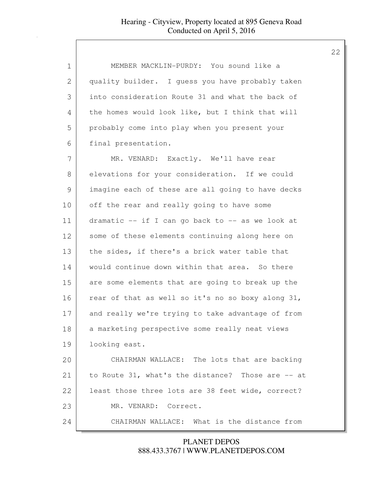| $\mathbf 1$ | MEMBER MACKLIN-PURDY: You sound like a            |
|-------------|---------------------------------------------------|
| 2           | quality builder. I guess you have probably taken  |
| 3           | into consideration Route 31 and what the back of  |
| 4           | the homes would look like, but I think that will  |
| 5           | probably come into play when you present your     |
| 6           | final presentation.                               |
| 7           | MR. VENARD: Exactly. We'll have rear              |
| 8           | elevations for your consideration. If we could    |
| 9           | imagine each of these are all going to have decks |
| 10          | off the rear and really going to have some        |
| 11          | dramatic -- if I can go back to -- as we look at  |
| 12          | some of these elements continuing along here on   |
| 13          | the sides, if there's a brick water table that    |
| 14          | would continue down within that area. So there    |
| 15          | are some elements that are going to break up the  |
| 16          | rear of that as well so it's no so boxy along 31, |
| 17          | and really we're trying to take advantage of from |
| 18          | a marketing perspective some really neat views    |
| 19          | looking east.                                     |
| 20          | CHAIRMAN WALLACE: The lots that are backing       |
| 21          | to Route 31, what's the distance? Those are -- at |
| 22          | least those three lots are 38 feet wide, correct? |
| 23          | MR. VENARD: Correct.                              |
| 24          | CHAIRMAN WALLACE: What is the distance from       |

888.433.3767 | WWW.PLANETDEPOS.COM PLANET DEPOS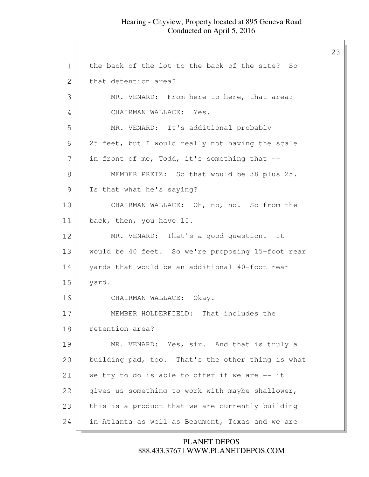23 1 the back of the lot to the back of the site? So 2 that detention area? 3 MR. VENARD: From here to here, that area? 4 CHAIRMAN WALLACE: Yes. 5 MR. VENARD: It's additional probably 6 25 feet, but I would really not having the scale 7 in front of me, Todd, it's something that --8 MEMBER PRETZ: So that would be 38 plus 25. 9 | Is that what he's saying? 10 CHAIRMAN WALLACE: Oh, no, no. So from the 11 back, then, you have 15. 12 MR. VENARD: That's a good question. It 13 would be 40 feet. So we're proposing 15-foot rear 14 yards that would be an additional 40-foot rear 15 yard. 16 CHAIRMAN WALLACE: Okay. 17 MEMBER HOLDERFIELD: That includes the 18 retention area? 19 MR. VENARD: Yes, sir. And that is truly a 20 building pad, too. That's the other thing is what 21 we try to do is able to offer if we are -- it 22 gives us something to work with maybe shallower, 23 this is a product that we are currently building 24 in Atlanta as well as Beaumont, Texas and we are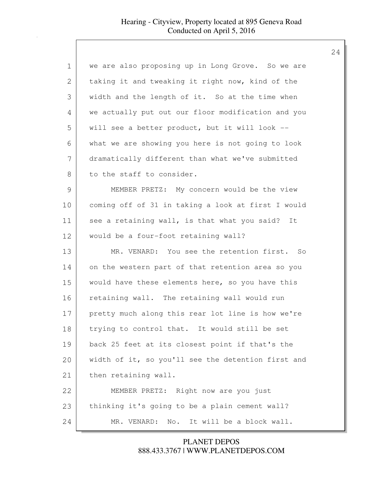| $\mathbf 1$   | we are also proposing up in Long Grove. So we are         |
|---------------|-----------------------------------------------------------|
| 2             | taking it and tweaking it right now, kind of the          |
| 3             | width and the length of it. So at the time when           |
| 4             | we actually put out our floor modification and you        |
| 5             | will see a better product, but it will look --            |
| 6             | what we are showing you here is not going to look         |
| 7             | dramatically different than what we've submitted          |
| 8             | to the staff to consider.                                 |
| $\mathcal{G}$ | MEMBER PRETZ: My concern would be the view                |
| 10            | coming off of 31 in taking a look at first I would        |
| 11            | see a retaining wall, is that what you said? It           |
| 12            | would be a four-foot retaining wall?                      |
| 13            | MR. VENARD: You see the retention first. So               |
| 14            | on the western part of that retention area so you         |
| 15            | would have these elements here, so you have this          |
| 16            | retaining wall. The retaining wall would run              |
| 17            | pretty much along this rear lot line is how we're         |
| 18            | trying to control that. It would still be set             |
| 19            | back 25 feet at its closest point if that's the           |
| 20            | width of it, so you'll see the detention first and        |
| 21            | then retaining wall.                                      |
| 22            | MEMBER PRETZ: Right now are you just                      |
| 23            | thinking it's going to be a plain cement wall?            |
| 24            | It will be a block wall.<br>$\mathbb N$ o.<br>MR. VENARD: |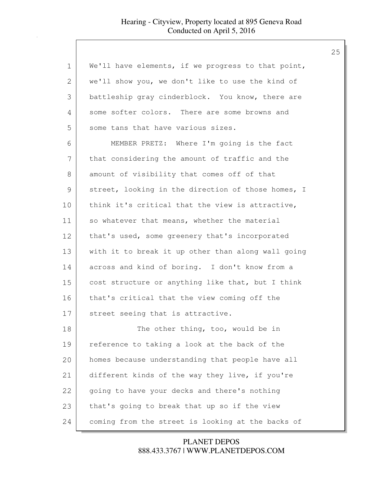| $\mathbf 1$ | We'll have elements, if we progress to that point, |
|-------------|----------------------------------------------------|
| 2           | we'll show you, we don't like to use the kind of   |
| 3           | battleship gray cinderblock. You know, there are   |
| 4           | some softer colors. There are some browns and      |
| 5           | some tans that have various sizes.                 |
| 6           | MEMBER PRETZ: Where I'm going is the fact          |
| 7           | that considering the amount of traffic and the     |
| 8           | amount of visibility that comes off of that        |
| 9           | street, looking in the direction of those homes, I |
| 10          | think it's critical that the view is attractive,   |
| 11          | so whatever that means, whether the material       |
| 12          | that's used, some greenery that's incorporated     |
| 13          | with it to break it up other than along wall going |
| 14          | across and kind of boring. I don't know from a     |
| 15          | cost structure or anything like that, but I think  |
| 16          | that's critical that the view coming off the       |
| 17          | street seeing that is attractive.                  |
| 18          | The other thing, too, would be in                  |
| 19          | reference to taking a look at the back of the      |
| 20          | homes because understanding that people have all   |
| 21          | different kinds of the way they live, if you're    |
| 22          | going to have your decks and there's nothing       |
| 23          | that's going to break that up so if the view       |
| 24          | coming from the street is looking at the backs of  |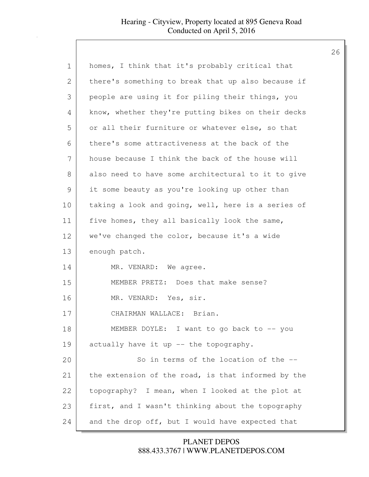| $\mathbf 1$ | homes, I think that it's probably critical that    |
|-------------|----------------------------------------------------|
| 2           | there's something to break that up also because if |
| 3           | people are using it for piling their things, you   |
| 4           | know, whether they're putting bikes on their decks |
| 5           | or all their furniture or whatever else, so that   |
| 6           | there's some attractiveness at the back of the     |
| 7           | house because I think the back of the house will   |
| 8           | also need to have some architectural to it to give |
| 9           | it some beauty as you're looking up other than     |
| 10          | taking a look and going, well, here is a series of |
| 11          | five homes, they all basically look the same,      |
| 12          | we've changed the color, because it's a wide       |
| 13          | enough patch.                                      |
| 14          | MR. VENARD: We agree.                              |
| 15          | MEMBER PRETZ: Does that make sense?                |
| 16          | MR. VENARD: Yes, sir.                              |
| 17          | CHAIRMAN WALLACE: Brian.                           |
| 18          | MEMBER DOYLE: I want to go back to -- you          |
| 19          | actually have it up -- the topography.             |
| 20          | So in terms of the location of the --              |
| 21          | the extension of the road, is that informed by the |
| 22          | topography? I mean, when I looked at the plot at   |
| 23          | first, and I wasn't thinking about the topography  |
| 24          | and the drop off, but I would have expected that   |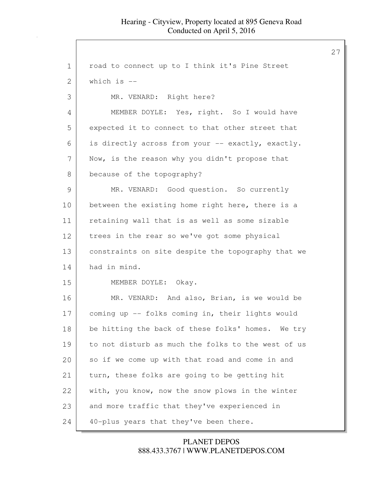| 1             | road to connect up to I think it's Pine Street     |
|---------------|----------------------------------------------------|
| 2             | which is $-$                                       |
| 3             | MR. VENARD: Right here?                            |
| 4             | MEMBER DOYLE: Yes, right. So I would have          |
| 5             | expected it to connect to that other street that   |
| 6             | is directly across from your -- exactly, exactly.  |
| 7             | Now, is the reason why you didn't propose that     |
| $8\,$         | because of the topography?                         |
| $\mathcal{G}$ | MR. VENARD: Good question. So currently            |
| 10            | between the existing home right here, there is a   |
| 11            | retaining wall that is as well as some sizable     |
| 12            | trees in the rear so we've got some physical       |
| 13            | constraints on site despite the topography that we |
| 14            | had in mind.                                       |
| 15            | MEMBER DOYLE: Okay.                                |
| 16            | MR. VENARD: And also, Brian, is we would be        |
| 17            | coming up -- folks coming in, their lights would   |
| 18            | be hitting the back of these folks' homes. We try  |
| 19            | to not disturb as much the folks to the west of us |
| 20            | so if we come up with that road and come in and    |
| 21            | turn, these folks are going to be getting hit      |
| 22            | with, you know, now the snow plows in the winter   |
| 23            | and more traffic that they've experienced in       |
| 24            | 40-plus years that they've been there.             |

888.433.3767 | WWW.PLANETDEPOS.COM PLANET DEPOS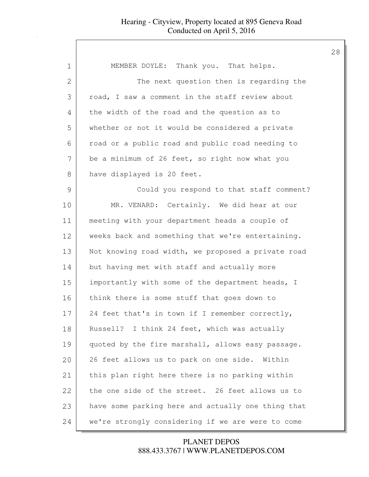| $\mathbf 1$ | MEMBER DOYLE: Thank you. That helps.               |
|-------------|----------------------------------------------------|
| 2           | The next question then is regarding the            |
| 3           | road, I saw a comment in the staff review about    |
| 4           | the width of the road and the question as to       |
| 5           | whether or not it would be considered a private    |
| 6           | road or a public road and public road needing to   |
| 7           | be a minimum of 26 feet, so right now what you     |
| 8           | have displayed is 20 feet.                         |
| 9           | Could you respond to that staff comment?           |
| 10          | MR. VENARD: Certainly. We did hear at our          |
| 11          | meeting with your department heads a couple of     |
| 12          | weeks back and something that we're entertaining.  |
| 13          | Not knowing road width, we proposed a private road |
| 14          | but having met with staff and actually more        |
| 15          | importantly with some of the department heads, I   |
| 16          | think there is some stuff that goes down to        |
| 17          | 24 feet that's in town if I remember correctly,    |
| 18          | Russell? I think 24 feet, which was actually       |
| 19          | quoted by the fire marshall, allows easy passage.  |
| 20          | 26 feet allows us to park on one side. Within      |
| 21          | this plan right here there is no parking within    |
| 22          | the one side of the street. 26 feet allows us to   |
| 23          | have some parking here and actually one thing that |
| 24          | we're strongly considering if we are were to come  |

888.433.3767 | WWW.PLANETDEPOS.COM PLANET DEPOS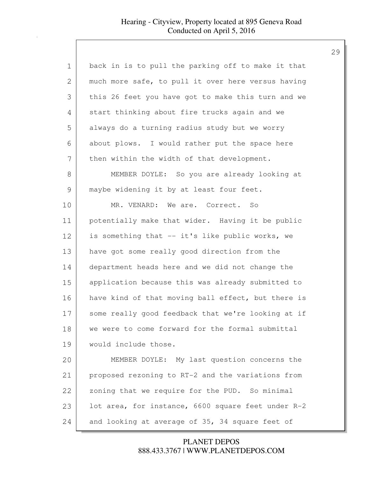| $\mathbf 1$   | back in is to pull the parking off to make it that |
|---------------|----------------------------------------------------|
| 2             | much more safe, to pull it over here versus having |
| 3             | this 26 feet you have got to make this turn and we |
| 4             | start thinking about fire trucks again and we      |
| 5             | always do a turning radius study but we worry      |
| 6             | about plows. I would rather put the space here     |
| 7             | then within the width of that development.         |
| 8             | MEMBER DOYLE: So you are already looking at        |
| $\mathcal{G}$ | maybe widening it by at least four feet.           |
| 10            | MR. VENARD: We are. Correct. So                    |
| 11            | potentially make that wider. Having it be public   |
| 12            | is something that -- it's like public works, we    |
| 13            | have got some really good direction from the       |
| 14            | department heads here and we did not change the    |
| 15            | application because this was already submitted to  |
| 16            | have kind of that moving ball effect, but there is |
| 17            | some really good feedback that we're looking at if |
| 18            | we were to come forward for the formal submittal   |
| 19            | would include those.                               |
| 20            | MEMBER DOYLE: My last question concerns the        |
| 21            | proposed rezoning to RT-2 and the variations from  |
| 22            | zoning that we require for the PUD. So minimal     |
| 23            | lot area, for instance, 6600 square feet under R-2 |
| 24            | and looking at average of 35, 34 square feet of    |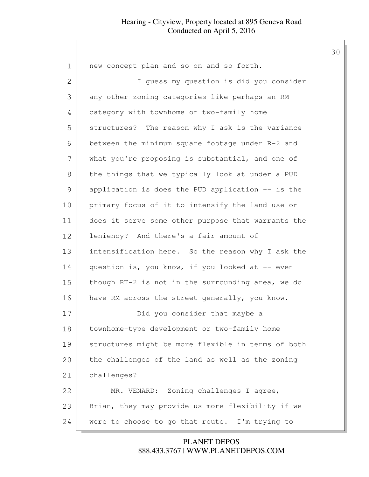| $\mathbf 1$    | new concept plan and so on and so forth.           |
|----------------|----------------------------------------------------|
| $\overline{2}$ | I guess my question is did you consider            |
| 3              | any other zoning categories like perhaps an RM     |
| 4              | category with townhome or two-family home          |
| 5              | structures? The reason why I ask is the variance   |
| 6              | between the minimum square footage under R-2 and   |
| 7              | what you're proposing is substantial, and one of   |
| 8              | the things that we typically look at under a PUD   |
| 9              | application is does the PUD application -- is the  |
| 10             | primary focus of it to intensify the land use or   |
| 11             | does it serve some other purpose that warrants the |
| 12             | leniency? And there's a fair amount of             |
| 13             | intensification here. So the reason why I ask the  |
| 14             | question is, you know, if you looked at -- even    |
| 15             | though RT-2 is not in the surrounding area, we do  |
| 16             | have RM across the street generally, you know.     |
| 17             | Did you consider that maybe a                      |
| 18             | townhome-type development or two-family home       |
| 19             | structures might be more flexible in terms of both |
| 20             | the challenges of the land as well as the zoning   |
| 21             | challenges?                                        |
| 22             | MR. VENARD: Zoning challenges I agree,             |
| 23             | Brian, they may provide us more flexibility if we  |
| 24             | were to choose to go that route. I'm trying to     |

888.433.3767 | WWW.PLANETDEPOS.COM PLANET DEPOS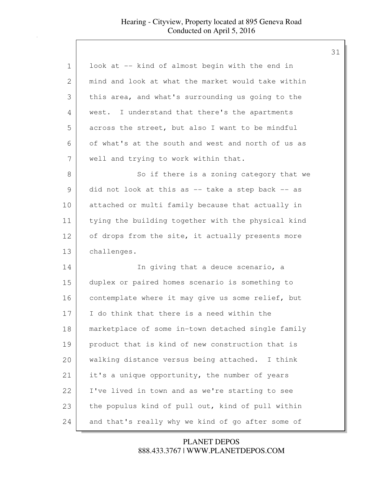| 1  | look at -- kind of almost begin with the end in    |
|----|----------------------------------------------------|
| 2  | mind and look at what the market would take within |
| 3  | this area, and what's surrounding us going to the  |
| 4  | west. I understand that there's the apartments     |
| 5  | across the street, but also I want to be mindful   |
| 6  | of what's at the south and west and north of us as |
| 7  | well and trying to work within that.               |
| 8  | So if there is a zoning category that we           |
| 9  | did not look at this as -- take a step back -- as  |
| 10 | attached or multi family because that actually in  |
| 11 | tying the building together with the physical kind |
| 12 | of drops from the site, it actually presents more  |
| 13 | challenges.                                        |
| 14 | In giving that a deuce scenario, a                 |
| 15 | duplex or paired homes scenario is something to    |
| 16 | contemplate where it may give us some relief, but  |
| 17 | I do think that there is a need within the         |
| 18 | marketplace of some in-town detached single family |
| 19 | product that is kind of new construction that is   |
| 20 | walking distance versus being attached. I think    |
| 21 | it's a unique opportunity, the number of years     |
| 22 | I've lived in town and as we're starting to see    |
| 23 | the populus kind of pull out, kind of pull within  |
| 24 | and that's really why we kind of go after some of  |

888.433.3767 | WWW.PLANETDEPOS.COM PLANET DEPOS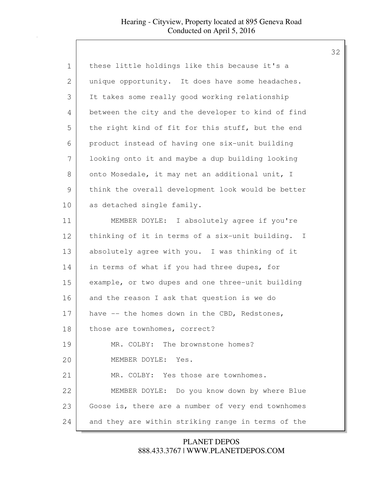| $\mathbf 1$    | these little holdings like this because it's a     |
|----------------|----------------------------------------------------|
| $\overline{2}$ | unique opportunity. It does have some headaches.   |
| 3              | It takes some really good working relationship     |
| 4              | between the city and the developer to kind of find |
| 5              | the right kind of fit for this stuff, but the end  |
| 6              | product instead of having one six-unit building    |
| 7              | looking onto it and maybe a dup building looking   |
| 8              | onto Mosedale, it may net an additional unit, I    |
| 9              | think the overall development look would be better |
| 10             | as detached single family.                         |
| 11             | MEMBER DOYLE: I absolutely agree if you're         |
| 12             | thinking of it in terms of a six-unit building. I  |
| 13             | absolutely agree with you. I was thinking of it    |
| 14             | in terms of what if you had three dupes, for       |
| 15             | example, or two dupes and one three-unit building  |
| 16             | and the reason I ask that question is we do        |
| 17             | have -- the homes down in the CBD, Redstones,      |
| 18             | those are townhomes, correct?                      |
| 19             | MR. COLBY: The brownstone homes?                   |
| 20             | MEMBER DOYLE: Yes.                                 |
| 21             | MR. COLBY: Yes those are townhomes.                |
| 22             | MEMBER DOYLE: Do you know down by where Blue       |
| 23             | Goose is, there are a number of very end townhomes |
| 24             | and they are within striking range in terms of the |

888.433.3767 | WWW.PLANETDEPOS.COM PLANET DEPOS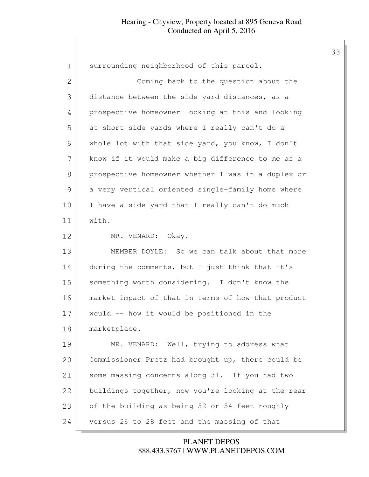| $\mathbf 1$    | surrounding neighborhood of this parcel.           |
|----------------|----------------------------------------------------|
| $\overline{2}$ | Coming back to the question about the              |
| 3              | distance between the side yard distances, as a     |
| 4              | prospective homeowner looking at this and looking  |
| 5              | at short side yards where I really can't do a      |
| 6              | whole lot with that side yard, you know, I don't   |
| 7              | know if it would make a big difference to me as a  |
| 8              | prospective homeowner whether I was in a duplex or |
| 9              | a very vertical oriented single-family home where  |
| 10             | I have a side yard that I really can't do much     |
| 11             | with.                                              |
| 12             | MR. VENARD: Okay.                                  |
| 13             | MEMBER DOYLE: So we can talk about that more       |
| 14             | during the comments, but I just think that it's    |
| 15             | something worth considering. I don't know the      |
| 16             | market impact of that in terms of how that product |
| 17             | would -- how it would be positioned in the         |
| 18             | marketplace.                                       |
| 19             | MR. VENARD: Well, trying to address what           |
| 20             | Commissioner Pretz had brought up, there could be  |
| 21             | some massing concerns along 31. If you had two     |
| 22             | buildings together, now you're looking at the rear |
| 23             | of the building as being 52 or 54 feet roughly     |
| 24             | versus 26 to 28 feet and the massing of that       |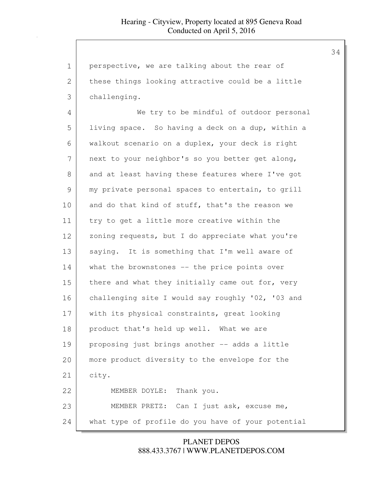| $\mathbf 1$  | perspective, we are talking about the rear of      |
|--------------|----------------------------------------------------|
| $\mathbf{2}$ | these things looking attractive could be a little  |
| 3            | challenging.                                       |
| 4            | We try to be mindful of outdoor personal           |
| 5            | living space. So having a deck on a dup, within a  |
| 6            | walkout scenario on a duplex, your deck is right   |
| 7            | next to your neighbor's so you better get along,   |
| 8            | and at least having these features where I've got  |
| 9            | my private personal spaces to entertain, to grill  |
| 10           | and do that kind of stuff, that's the reason we    |
| 11           | try to get a little more creative within the       |
| 12           | zoning requests, but I do appreciate what you're   |
| 13           | saying. It is something that I'm well aware of     |
| 14           | what the brownstones -- the price points over      |
| 15           | there and what they initially came out for, very   |
| 16           | challenging site I would say roughly '02, '03 and  |
| 17           | with its physical constraints, great looking       |
| 18           | product that's held up well. What we are           |
| 19           | proposing just brings another -- adds a little     |
| 20           | more product diversity to the envelope for the     |
| 21           | city.                                              |
| 22           | MEMBER DOYLE: Thank you.                           |
| 23           | MEMBER PRETZ: Can I just ask, excuse me,           |
| 24           | what type of profile do you have of your potential |

888.433.3767 | WWW.PLANETDEPOS.COM PLANET DEPOS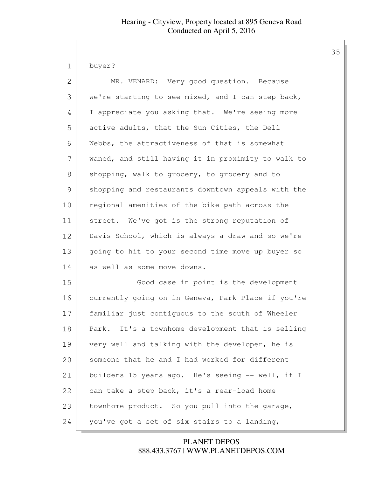buyer?

| $\mathbf{2}$  | MR. VENARD: Very good question. Because            |
|---------------|----------------------------------------------------|
| 3             | we're starting to see mixed, and I can step back,  |
| 4             | I appreciate you asking that. We're seeing more    |
| 5             | active adults, that the Sun Cities, the Dell       |
| 6             | Webbs, the attractiveness of that is somewhat      |
| 7             | waned, and still having it in proximity to walk to |
| 8             | shopping, walk to grocery, to grocery and to       |
| $\mathcal{G}$ | shopping and restaurants downtown appeals with the |
| 10            | regional amenities of the bike path across the     |
| 11            | street. We've got is the strong reputation of      |
| 12            | Davis School, which is always a draw and so we're  |
| 13            | going to hit to your second time move up buyer so  |
| 14            | as well as some move downs.                        |
| 15            | Good case in point is the development              |
| 16            | currently going on in Geneva, Park Place if you're |
| 17            | familiar just contiguous to the south of Wheeler   |
| 18            | Park. It's a townhome development that is selling  |
| 19            | very well and talking with the developer, he is    |
| 20            | someone that he and I had worked for different     |
| 21            | builders 15 years ago. He's seeing -- well, if I   |
| 22            | can take a step back, it's a rear-load home        |
| 23            | townhome product. So you pull into the garage,     |
| 24            | you've got a set of six stairs to a landing,       |

888.433.3767 | WWW.PLANETDEPOS.COM PLANET DEPOS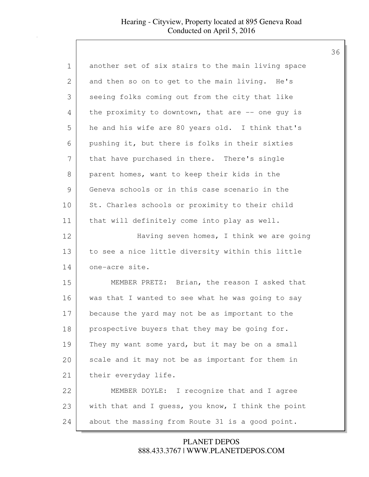| $\mathbf 1$   | another set of six stairs to the main living space |
|---------------|----------------------------------------------------|
| 2             | and then so on to get to the main living. He's     |
| 3             | seeing folks coming out from the city that like    |
| 4             | the proximity to downtown, that are $-$ one guy is |
| 5             | he and his wife are 80 years old. I think that's   |
| 6             | pushing it, but there is folks in their sixties    |
| 7             | that have purchased in there. There's single       |
| 8             | parent homes, want to keep their kids in the       |
| $\mathcal{G}$ | Geneva schools or in this case scenario in the     |
| 10            | St. Charles schools or proximity to their child    |
| 11            | that will definitely come into play as well.       |
| 12            | Having seven homes, I think we are going           |
| 13            | to see a nice little diversity within this little  |
| 14            | one-acre site.                                     |
| 15            | MEMBER PRETZ: Brian, the reason I asked that       |
| 16            | was that I wanted to see what he was going to say  |
| 17            | because the yard may not be as important to the    |
| 18            | prospective buyers that they may be going for.     |
| 19            | They my want some yard, but it may be on a small   |
| 20            | scale and it may not be as important for them in   |
| 21            | their everyday life.                               |
| 22            | MEMBER DOYLE: I recognize that and I agree         |
| 23            | with that and I guess, you know, I think the point |
| 24            | about the massing from Route 31 is a good point.   |

888.433.3767 | WWW.PLANETDEPOS.COM PLANET DEPOS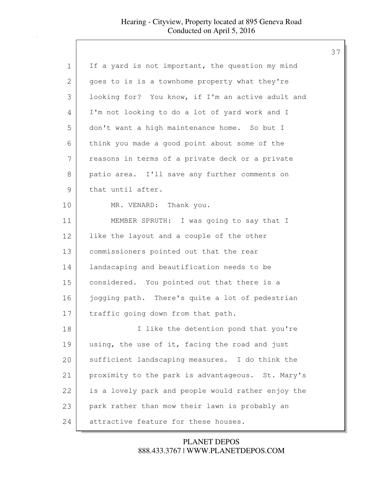| 1             | If a yard is not important, the question my mind   |
|---------------|----------------------------------------------------|
| 2             | goes to is is a townhome property what they're     |
| 3             | looking for? You know, if I'm an active adult and  |
| 4             | I'm not looking to do a lot of yard work and I     |
| 5             | don't want a high maintenance home. So but I       |
| 6             | think you made a good point about some of the      |
| 7             | reasons in terms of a private deck or a private    |
| 8             | patio area. I'll save any further comments on      |
| $\mathcal{G}$ | that until after.                                  |
| 10            | MR. VENARD: Thank you.                             |
| 11            | MEMBER SPRUTH: I was going to say that I           |
| 12            | like the layout and a couple of the other          |
| 13            | commissioners pointed out that the rear            |
| 14            | landscaping and beautification needs to be         |
| 15            | considered. You pointed out that there is a        |
| 16            | jogging path. There's quite a lot of pedestrian    |
| 17            | traffic going down from that path.                 |
| 18            | I like the detention pond that you're              |
| 19            | using, the use of it, facing the road and just     |
| 20            | sufficient landscaping measures. I do think the    |
| 21            | proximity to the park is advantageous. St. Mary's  |
| 22            | is a lovely park and people would rather enjoy the |
| 23            | park rather than mow their lawn is probably an     |
| 24            | attractive feature for these houses.               |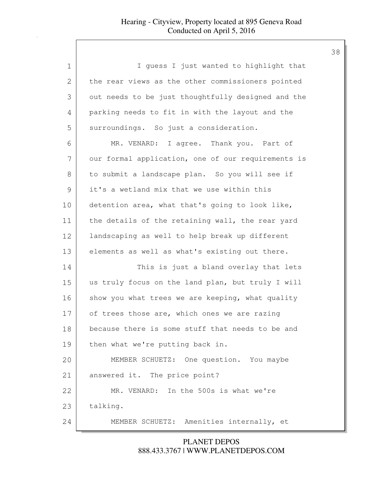| 1            | I guess I just wanted to highlight that            |
|--------------|----------------------------------------------------|
| $\mathbf{2}$ | the rear views as the other commissioners pointed  |
| 3            | out needs to be just thoughtfully designed and the |
| 4            | parking needs to fit in with the layout and the    |
| 5            | surroundings. So just a consideration.             |
| 6            | MR. VENARD: I agree. Thank you. Part of            |
| 7            | our formal application, one of our requirements is |
| 8            | to submit a landscape plan. So you will see if     |
| 9            | it's a wetland mix that we use within this         |
| 10           | detention area, what that's going to look like,    |
| 11           | the details of the retaining wall, the rear yard   |
| 12           | landscaping as well to help break up different     |
| 13           | elements as well as what's existing out there.     |
| 14           | This is just a bland overlay that lets             |
| 15           | us truly focus on the land plan, but truly I will  |
| 16           | show you what trees we are keeping, what quality   |
| 17           | of trees those are, which ones we are razing       |
| 18           | because there is some stuff that needs to be and   |
| 19           | then what we're putting back in.                   |
| 20           | MEMBER SCHUETZ: One question. You maybe            |
| 21           | answered it. The price point?                      |
| 22           | MR. VENARD: In the 500s is what we're              |
| 23           | talking.                                           |
| 24           | MEMBER SCHUETZ: Amenities internally, et           |

888.433.3767 | WWW.PLANETDEPOS.COM PLANET DEPOS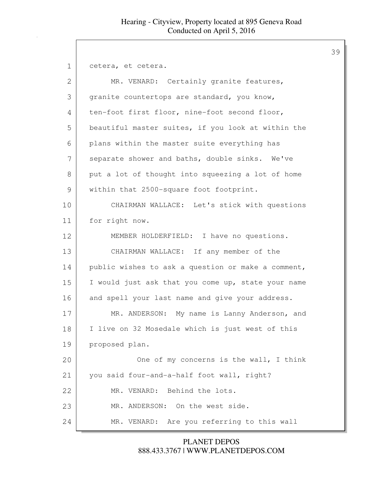1 cetera, et cetera.

| 2  | MR. VENARD: Certainly granite features,            |
|----|----------------------------------------------------|
| 3  | granite countertops are standard, you know,        |
| 4  | ten-foot first floor, nine-foot second floor,      |
| 5  | beautiful master suites, if you look at within the |
| 6  | plans within the master suite everything has       |
| 7  | separate shower and baths, double sinks. We've     |
| 8  | put a lot of thought into squeezing a lot of home  |
| 9  | within that 2500-square foot footprint.            |
| 10 | CHAIRMAN WALLACE: Let's stick with questions       |
| 11 | for right now.                                     |
| 12 | MEMBER HOLDERFIELD: I have no questions.           |
| 13 | CHAIRMAN WALLACE: If any member of the             |
| 14 | public wishes to ask a question or make a comment, |
| 15 | I would just ask that you come up, state your name |
| 16 | and spell your last name and give your address.    |
| 17 | MR. ANDERSON: My name is Lanny Anderson, and       |
| 18 | I live on 32 Mosedale which is just west of this   |
| 19 | proposed plan.                                     |
| 20 | One of my concerns is the wall, I think            |
| 21 | you said four-and-a-half foot wall, right?         |
| 22 | MR. VENARD: Behind the lots.                       |
| 23 | MR. ANDERSON: On the west side.                    |
| 24 | MR. VENARD: Are you referring to this wall         |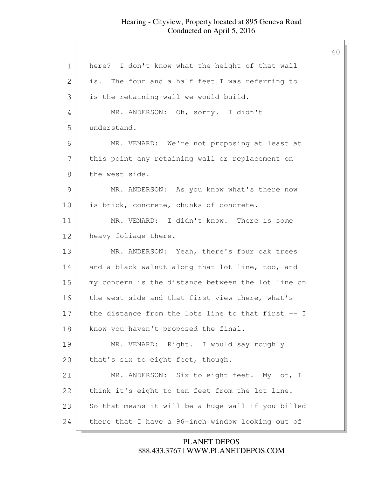40

1 | here? I don't know what the height of that wall 2 is. The four and a half feet I was referring to 3 is the retaining wall we would build. 4 MR. ANDERSON: Oh, sorry. I didn't 5 understand. 6 MR. VENARD: We're not proposing at least at 7 | this point any retaining wall or replacement on 8 the west side. 9 MR. ANDERSON: As you know what's there now 10 is brick, concrete, chunks of concrete. 11 MR. VENARD: I didn't know. There is some 12 heavy foliage there. 13 MR. ANDERSON: Yeah, there's four oak trees 14 and a black walnut along that lot line, too, and 15 my concern is the distance between the lot line on 16 the west side and that first view there, what's 17 the distance from the lots line to that first -- I 18 | know you haven't proposed the final. 19 MR. VENARD: Right. I would say roughly 20 | that's six to eight feet, though. 21 MR. ANDERSON: Six to eight feet. My lot, I 22 | think it's eight to ten feet from the lot line.  $23$  So that means it will be a huge wall if you billed 24 there that I have a 96-inch window looking out of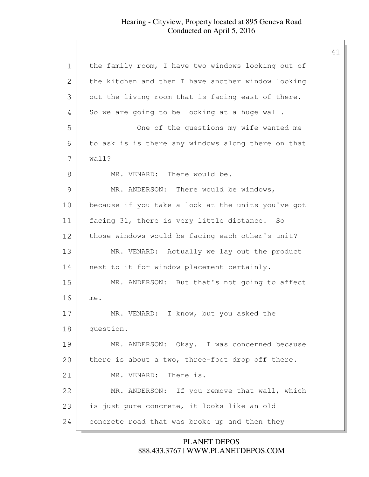| $\mathbf 1$   | the family room, I have two windows looking out of |
|---------------|----------------------------------------------------|
| 2             | the kitchen and then I have another window looking |
| 3             | out the living room that is facing east of there.  |
| 4             | So we are going to be looking at a huge wall.      |
| 5             | One of the questions my wife wanted me             |
| 6             | to ask is is there any windows along there on that |
| 7             | wall?                                              |
| 8             | MR. VENARD: There would be.                        |
| $\mathcal{G}$ | MR. ANDERSON: There would be windows,              |
| 10            | because if you take a look at the units you've got |
| 11            | facing 31, there is very little distance. So       |
| 12            | those windows would be facing each other's unit?   |
| 13            | MR. VENARD: Actually we lay out the product        |
| 14            | next to it for window placement certainly.         |
| 15            | MR. ANDERSON: But that's not going to affect       |
| 16            | me.                                                |
| 17            | MR. VENARD: I know, but you asked the              |
| 18            | question.                                          |
| 19            | MR. ANDERSON: Okay. I was concerned because        |
| 20            | there is about a two, three-foot drop off there.   |
| 21            | MR. VENARD: There is.                              |
| 22            | MR. ANDERSON: If you remove that wall, which       |
| 23            | is just pure concrete, it looks like an old        |
| 24            | concrete road that was broke up and then they      |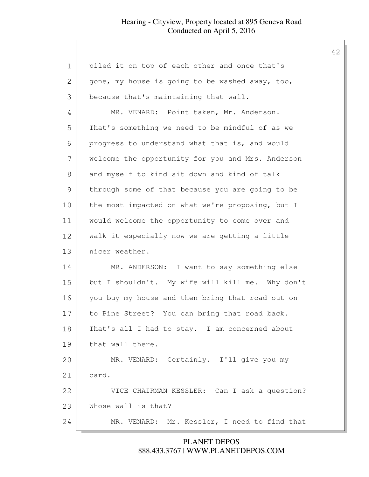| $\mathbf 1$  | piled it on top of each other and once that's     |
|--------------|---------------------------------------------------|
| $\mathbf{2}$ | gone, my house is going to be washed away, too,   |
| 3            | because that's maintaining that wall.             |
| 4            | MR. VENARD: Point taken, Mr. Anderson.            |
| 5            | That's something we need to be mindful of as we   |
| 6            | progress to understand what that is, and would    |
| 7            | welcome the opportunity for you and Mrs. Anderson |
| 8            | and myself to kind sit down and kind of talk      |
| 9            | through some of that because you are going to be  |
| 10           | the most impacted on what we're proposing, but I  |
| 11           | would welcome the opportunity to come over and    |
| 12           | walk it especially now we are getting a little    |
| 13           | nicer weather.                                    |
| 14           | MR. ANDERSON: I want to say something else        |
| 15           | but I shouldn't. My wife will kill me. Why don't  |
| 16           | you buy my house and then bring that road out on  |
| 17           | to Pine Street? You can bring that road back.     |
| 18           | That's all I had to stay. I am concerned about    |
| 19           | that wall there.                                  |
| 20           | MR. VENARD: Certainly. I'll give you my           |
| 21           | card.                                             |
| 22           | VICE CHAIRMAN KESSLER: Can I ask a question?      |
| 23           | Whose wall is that?                               |
| 24           | MR. VENARD: Mr. Kessler, I need to find that      |

888.433.3767 | WWW.PLANETDEPOS.COM PLANET DEPOS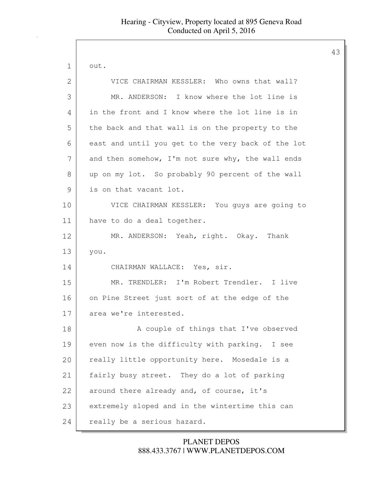| 1  | out.                                               |
|----|----------------------------------------------------|
| 2  | VICE CHAIRMAN KESSLER: Who owns that wall?         |
| 3  | MR. ANDERSON: I know where the lot line is         |
| 4  | in the front and I know where the lot line is in   |
| 5  | the back and that wall is on the property to the   |
| 6  | east and until you get to the very back of the lot |
| 7  | and then somehow, I'm not sure why, the wall ends  |
| 8  | up on my lot. So probably 90 percent of the wall   |
| 9  | is on that vacant lot.                             |
| 10 | VICE CHAIRMAN KESSLER: You guys are going to       |
| 11 | have to do a deal together.                        |
| 12 | MR. ANDERSON: Yeah, right. Okay. Thank             |
| 13 | you.                                               |
| 14 | CHAIRMAN WALLACE: Yes, sir.                        |
| 15 | MR. TRENDLER: I'm Robert Trendler. I live          |
| 16 | on Pine Street just sort of at the edge of the     |
| 17 | area we're interested.                             |
| 18 | A couple of things that I've observed              |
| 19 | even now is the difficulty with parking. I see     |
| 20 | really little opportunity here. Mosedale is a      |
| 21 | fairly busy street. They do a lot of parking       |
| 22 | around there already and, of course, it's          |
| 23 | extremely sloped and in the wintertime this can    |
| 24 | really be a serious hazard.                        |

888.433.3767 | WWW.PLANETDEPOS.COM PLANET DEPOS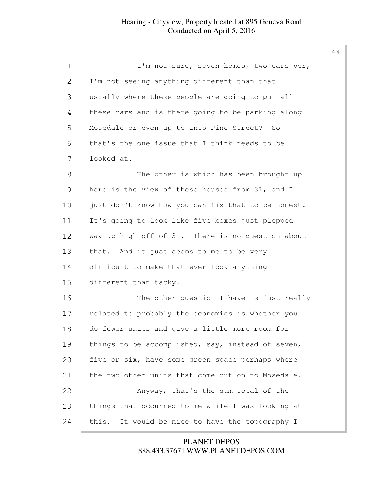| 1  | I'm not sure, seven homes, two cars per,           |
|----|----------------------------------------------------|
| 2  | I'm not seeing anything different than that        |
| 3  | usually where these people are going to put all    |
| 4  | these cars and is there going to be parking along  |
| 5  | Mosedale or even up to into Pine Street? So        |
| 6  | that's the one issue that I think needs to be      |
| 7  | looked at.                                         |
| 8  | The other is which has been brought up             |
| 9  | here is the view of these houses from 31, and I    |
| 10 | just don't know how you can fix that to be honest. |
| 11 | It's going to look like five boxes just plopped    |
| 12 | way up high off of 31. There is no question about  |
| 13 | that. And it just seems to me to be very           |
| 14 | difficult to make that ever look anything          |
| 15 | different than tacky.                              |
| 16 | The other question I have is just really           |
| 17 | related to probably the economics is whether you   |
| 18 | do fewer units and give a little more room for     |
| 19 | things to be accomplished, say, instead of seven,  |
| 20 | five or six, have some green space perhaps where   |
| 21 | the two other units that come out on to Mosedale.  |
| 22 | Anyway, that's the sum total of the                |
| 23 | things that occurred to me while I was looking at  |
| 24 | It would be nice to have the topography I<br>this. |

888.433.3767 | WWW.PLANETDEPOS.COM PLANET DEPOS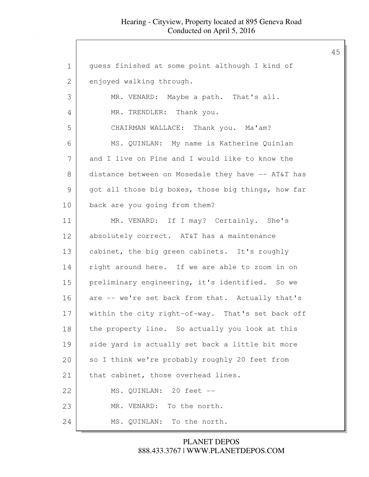| $\mathbf 1$    | guess finished at some point although I kind of    |
|----------------|----------------------------------------------------|
| $\overline{2}$ | enjoyed walking through.                           |
| 3              | MR. VENARD: Maybe a path. That's all.              |
| 4              | MR. TRENDLER: Thank you.                           |
| 5              | CHAIRMAN WALLACE: Thank you. Ma'am?                |
| 6              | MS. QUINLAN: My name is Katherine Quinlan          |
| 7              | and I live on Pine and I would like to know the    |
| 8              | distance between on Mosedale they have -- AT&T has |
| $\mathcal{G}$  | got all those big boxes, those big things, how far |
| 10             | back are you going from them?                      |
| 11             | MR. VENARD: If I may? Certainly. She's             |
| 12             | absolutely correct. AT&T has a maintenance         |
| 13             | cabinet, the big green cabinets. It's roughly      |
| 14             | right around here. If we are able to zoom in on    |
| 15             | preliminary engineering, it's identified. So we    |
| 16             | are -- we're set back from that. Actually that's   |
| 17             | within the city right-of-way. That's set back off  |
| 18             | the property line. So actually you look at this    |
| 19             | side yard is actually set back a little bit more   |
| 20             | so I think we're probably roughly 20 feet from     |
| 21             | that cabinet, those overhead lines.                |
| 22             | MS. QUINLAN: 20 feet --                            |
| 23             | MR. VENARD: To the north.                          |
| 24             | MS. QUINLAN: To the north.                         |
|                |                                                    |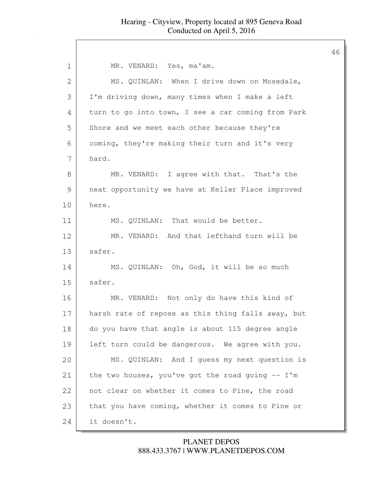| $\mathbf 1$  | MR. VENARD: Yes, ma'am.                            |
|--------------|----------------------------------------------------|
| $\mathbf{2}$ | MS. QUINLAN: When I drive down on Mosedale,        |
| 3            | I'm driving down, many times when I make a left    |
| 4            | turn to go into town, I see a car coming from Park |
| 5            | Shore and we meet each other because they're       |
| 6            | coming, they're making their turn and it's very    |
| 7            | hard.                                              |
| 8            | MR. VENARD: I agree with that. That's the          |
| 9            | neat opportunity we have at Keller Place improved  |
| 10           | here.                                              |
| 11           | MS. QUINLAN: That would be better.                 |
| 12           | MR. VENARD: And that lefthand turn will be         |
| 13           | safer.                                             |
| 14           | MS. QUINLAN: Oh, God, it will be so much           |
| 15           | safer.                                             |
| 16           | MR. VENARD: Not only do have this kind of          |
| 17           | harsh rate of repose as this thing falls away, but |
| 18           | do you have that angle is about 115 degree angle   |
| 19           | left turn could be dangerous. We agree with you.   |
| 20           | MS. QUINLAN: And I quess my next question is       |
| 21           | the two houses, you've got the road going $-- I'm$ |
| 22           | not clear on whether it comes to Pine, the road    |
| 23           | that you have coming, whether it comes to Pine or  |
| 24           | it doesn't.                                        |

### 888.433.3767 | WWW.PLANETDEPOS.COM PLANET DEPOS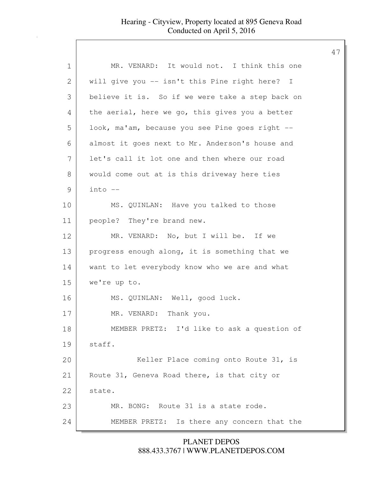| 1             | MR. VENARD: It would not. I think this one       |
|---------------|--------------------------------------------------|
| 2             | will give you -- isn't this Pine right here? I   |
| 3             | believe it is. So if we were take a step back on |
| 4             | the aerial, here we go, this gives you a better  |
| 5             | look, ma'am, because you see Pine goes right --  |
| 6             | almost it goes next to Mr. Anderson's house and  |
| 7             | let's call it lot one and then where our road    |
| 8             | would come out at is this driveway here ties     |
| $\mathcal{G}$ | $into$ $--$                                      |
| 10            | MS. QUINLAN: Have you talked to those            |
| 11            | people? They're brand new.                       |
| 12            | MR. VENARD: No, but I will be. If we             |
| 13            | progress enough along, it is something that we   |
| 14            | want to let everybody know who we are and what   |
| 15            | we're up to.                                     |
| 16            | MS. QUINLAN: Well, good luck.                    |
| 17            | MR. VENARD: Thank you.                           |
| 18            | MEMBER PRETZ: I'd like to ask a question of      |
| 19            | staff.                                           |
| 20            | Keller Place coming onto Route 31, is            |
| 21            | Route 31, Geneva Road there, is that city or     |
| 22            | state.                                           |
| 23            | MR. BONG: Route 31 is a state rode.              |
| 24            | MEMBER PRETZ: Is there any concern that the      |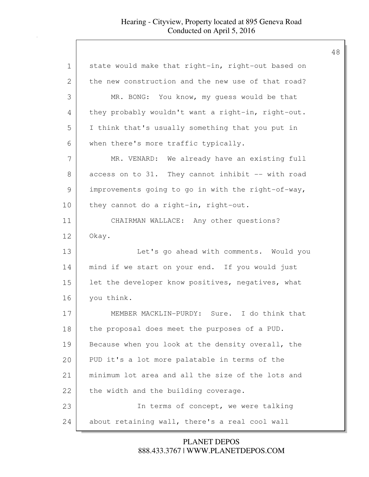| 1             | state would make that right-in, right-out based on |
|---------------|----------------------------------------------------|
| 2             | the new construction and the new use of that road? |
| 3             | MR. BONG: You know, my quess would be that         |
| 4             | they probably wouldn't want a right-in, right-out. |
| 5             | I think that's usually something that you put in   |
| 6             | when there's more traffic typically.               |
| 7             | MR. VENARD: We already have an existing full       |
| 8             | access on to 31. They cannot inhibit -- with road  |
| $\mathcal{G}$ | improvements going to go in with the right-of-way, |
| 10            | they cannot do a right-in, right-out.              |
| 11            | CHAIRMAN WALLACE: Any other questions?             |
| 12            | Okay.                                              |
| 13            | Let's go ahead with comments. Would you            |
|               |                                                    |
| 14            | mind if we start on your end. If you would just    |
| 15            | let the developer know positives, negatives, what  |
| 16            | you think.                                         |
| 17            | MEMBER MACKLIN-PURDY: Sure. I do think that        |
| 18            | the proposal does meet the purposes of a PUD.      |
| 19            | Because when you look at the density overall, the  |
| 20            | PUD it's a lot more palatable in terms of the      |
| 21            | minimum lot area and all the size of the lots and  |
| 22            | the width and the building coverage.               |
| 23            | In terms of concept, we were talking               |

888.433.3767 | WWW.PLANETDEPOS.COM PLANET DEPOS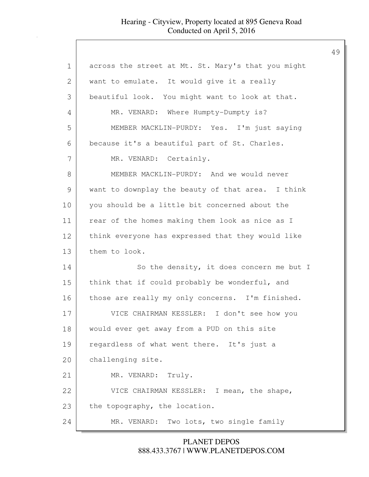| 1             | across the street at Mt. St. Mary's that you might |
|---------------|----------------------------------------------------|
| 2             | want to emulate. It would give it a really         |
| 3             | beautiful look. You might want to look at that.    |
| 4             | MR. VENARD: Where Humpty-Dumpty is?                |
| 5             | MEMBER MACKLIN-PURDY: Yes. I'm just saying         |
| 6             | because it's a beautiful part of St. Charles.      |
| 7             | MR. VENARD: Certainly.                             |
| 8             | MEMBER MACKLIN-PURDY: And we would never           |
| $\mathcal{G}$ | want to downplay the beauty of that area. I think  |
| 10            | you should be a little bit concerned about the     |
| 11            | rear of the homes making them look as nice as I    |
| 12            | think everyone has expressed that they would like  |
| 13            | them to look.                                      |
| 14            | So the density, it does concern me but I           |
| 15            | think that if could probably be wonderful, and     |
| 16            | those are really my only concerns. I'm finished.   |
| 17            | VICE CHAIRMAN KESSLER: I don't see how you         |
| 18            | would ever get away from a PUD on this site        |
| 19            | regardless of what went there. It's just a         |
| 20            | challenging site.                                  |
| 21            | MR. VENARD: Truly.                                 |
| 22            | VICE CHAIRMAN KESSLER: I mean, the shape,          |
| 23            | the topography, the location.                      |
| 24            | Two lots, two single family<br>MR. VENARD:         |

888.433.3767 | WWW.PLANETDEPOS.COM PLANET DEPOS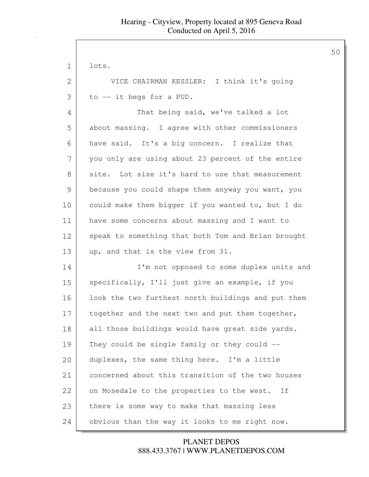| 1  | lots.                                              |
|----|----------------------------------------------------|
| 2  | VICE CHAIRMAN KESSLER: I think it's going          |
| 3  | to -- it begs for a PUD.                           |
| 4  | That being said, we've talked a lot                |
| 5  | about massing. I agree with other commissioners    |
| 6  | have said. It's a big concern. I realize that      |
| 7  | you only are using about 23 percent of the entire  |
| 8  | site. Lot size it's hard to use that measurement   |
| 9  | because you could shape them anyway you want, you  |
| 10 | could make them bigger if you wanted to, but I do  |
| 11 | have some concerns about massing and I want to     |
| 12 | speak to something that both Tom and Brian brought |
| 13 | up, and that is the view from 31.                  |
| 14 | I'm not opposed to some duplex units and           |
| 15 | specifically, I'll just give an example, if you    |
| 16 | look the two furthest north buildings and put them |
| 17 | together and the next two and put them together,   |
| 18 | all those buildings would have great side yards.   |
| 19 | They could be single family or they could --       |
| 20 | duplexes, the same thing here. I'm a little        |
| 21 | concerned about this transition of the two houses  |
| 22 | on Mosedale to the properties to the west. If      |
| 23 | there is some way to make that massing less        |
| 24 | obvious than the way it looks to me right now.     |

888.433.3767 | WWW.PLANETDEPOS.COM PLANET DEPOS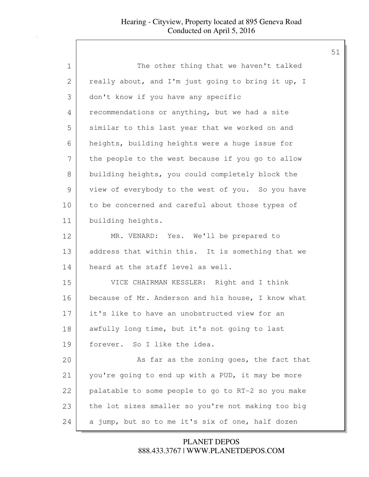| 1            | The other thing that we haven't talked             |
|--------------|----------------------------------------------------|
| $\mathbf{2}$ | really about, and I'm just going to bring it up, I |
| 3            | don't know if you have any specific                |
| 4            | recommendations or anything, but we had a site     |
| 5            | similar to this last year that we worked on and    |
| 6            | heights, building heights were a huge issue for    |
| 7            | the people to the west because if you go to allow  |
| 8            | building heights, you could completely block the   |
| 9            | view of everybody to the west of you. So you have  |
| 10           | to be concerned and careful about those types of   |
| 11           | building heights.                                  |
| 12           | MR. VENARD: Yes. We'll be prepared to              |
| 13           | address that within this. It is something that we  |
| 14           | heard at the staff level as well.                  |
| 15           | VICE CHAIRMAN KESSLER: Right and I think           |
| 16           | because of Mr. Anderson and his house, I know what |
| 17           | it's like to have an unobstructed view for an      |
| 18           | awfully long time, but it's not going to last      |
| 19           | forever. So I like the idea.                       |
| 20           | As far as the zoning goes, the fact that           |
| 21           | you're going to end up with a PUD, it may be more  |
| 22           | palatable to some people to go to RT-2 so you make |
| 23           | the lot sizes smaller so you're not making too big |
| 24           | a jump, but so to me it's six of one, half dozen   |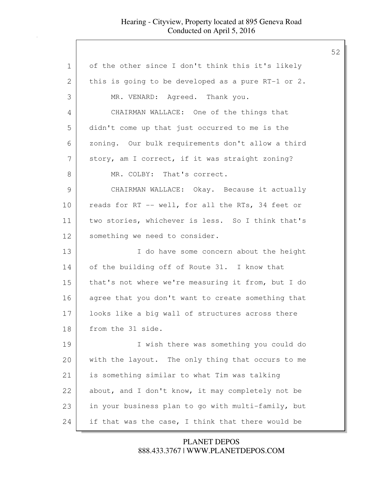| $\mathbf 1$   | of the other since I don't think this it's likely    |
|---------------|------------------------------------------------------|
| 2             | this is going to be developed as a pure $RT-1$ or 2. |
| 3             | MR. VENARD: Agreed. Thank you.                       |
| 4             | CHAIRMAN WALLACE: One of the things that             |
| 5             | didn't come up that just occurred to me is the       |
| 6             | zoning. Our bulk requirements don't allow a third    |
| 7             | story, am I correct, if it was straight zoning?      |
| $8\,$         | MR. COLBY: That's correct.                           |
| $\mathcal{G}$ | CHAIRMAN WALLACE: Okay. Because it actually          |
| 10            | reads for RT -- well, for all the RTs, 34 feet or    |
| 11            | two stories, whichever is less. So I think that's    |
| 12            | something we need to consider.                       |
| 13            | I do have some concern about the height              |
| 14            | of the building off of Route 31. I know that         |
| 15            | that's not where we're measuring it from, but I do   |
| 16            | agree that you don't want to create something that   |
| 17            | looks like a big wall of structures across there     |
| 18            | from the 31 side.                                    |
| 19            | I wish there was something you could do              |
| 20            | with the layout. The only thing that occurs to me    |
| 21            | is something similar to what Tim was talking         |
| 22            | about, and I don't know, it may completely not be    |
| 23            | in your business plan to go with multi-family, but   |
| 24            | if that was the case, I think that there would be    |

888.433.3767 | WWW.PLANETDEPOS.COM PLANET DEPOS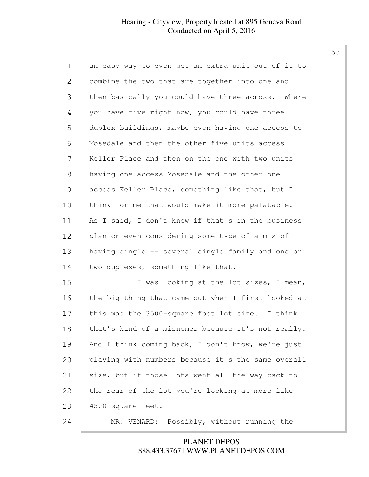| 1             | an easy way to even get an extra unit out of it to |
|---------------|----------------------------------------------------|
| 2             | combine the two that are together into one and     |
| 3             | then basically you could have three across. Where  |
| 4             | you have five right now, you could have three      |
| 5             | duplex buildings, maybe even having one access to  |
| 6             | Mosedale and then the other five units access      |
| 7             | Keller Place and then on the one with two units    |
| 8             | having one access Mosedale and the other one       |
| $\mathcal{G}$ | access Keller Place, something like that, but I    |
| 10            | think for me that would make it more palatable.    |
| 11            | As I said, I don't know if that's in the business  |
| 12            | plan or even considering some type of a mix of     |
| 13            | having single -- several single family and one or  |
| 14            | two duplexes, something like that.                 |
| 15            | I was looking at the lot sizes, I mean,            |
| 16            | the big thing that came out when I first looked at |
| 17            | this was the 3500-square foot lot size. I think    |
| 18            | that's kind of a misnomer because it's not really. |
| 19            | And I think coming back, I don't know, we're just  |
| 20            | playing with numbers because it's the same overall |
| 21            | size, but if those lots went all the way back to   |
| 22            | the rear of the lot you're looking at more like    |
| 23            | 4500 square feet.                                  |
| 24            | MR. VENARD:<br>Possibly, without running the       |

### 888.433.3767 | WWW.PLANETDEPOS.COM PLANET DEPOS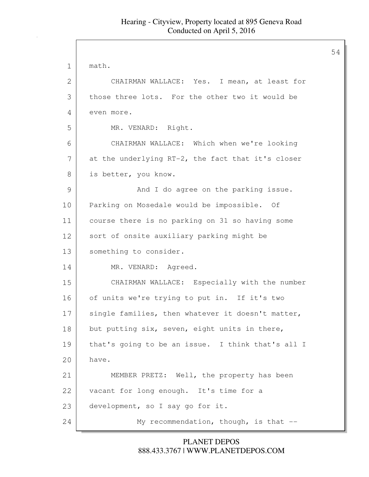| $\mathbf 1$ | math.                                             |
|-------------|---------------------------------------------------|
| 2           | CHAIRMAN WALLACE: Yes. I mean, at least for       |
| 3           | those three lots. For the other two it would be   |
| 4           | even more.                                        |
| 5           | MR. VENARD: Right.                                |
| 6           | CHAIRMAN WALLACE: Which when we're looking        |
| 7           | at the underlying RT-2, the fact that it's closer |
| 8           | is better, you know.                              |
| 9           | And I do agree on the parking issue.              |
| 10          | Parking on Mosedale would be impossible. Of       |
| 11          | course there is no parking on 31 so having some   |
| 12          | sort of onsite auxiliary parking might be         |
| 13          | something to consider.                            |
| 14          | MR. VENARD: Agreed.                               |
| 15          | CHAIRMAN WALLACE: Especially with the number      |
| 16          | of units we're trying to put in. If it's two      |
| 17          | single families, then whatever it doesn't matter, |
| 18          | but putting six, seven, eight units in there,     |
| 19          | that's going to be an issue. I think that's all I |
| 20          | have.                                             |
| 21          | MEMBER PRETZ: Well, the property has been         |
| 22          | vacant for long enough. It's time for a           |
| 23          | development, so I say go for it.                  |
| 24          | My recommendation, though, is that --             |

888.433.3767 | WWW.PLANETDEPOS.COM PLANET DEPOS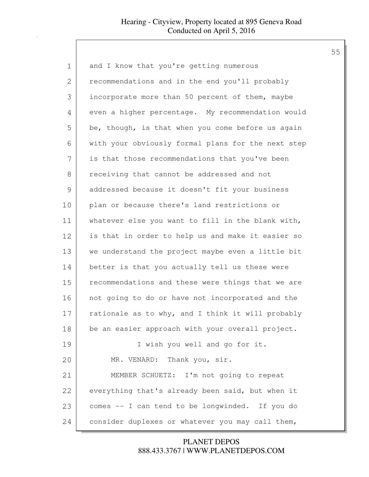| 1             | and I know that you're getting numerous            |
|---------------|----------------------------------------------------|
| $\mathbf{2}$  | recommendations and in the end you'll probably     |
| 3             | incorporate more than 50 percent of them, maybe    |
| 4             | even a higher percentage. My recommendation would  |
| 5             | be, though, is that when you come before us again  |
| 6             | with your obviously formal plans for the next step |
| 7             | is that those recommendations that you've been     |
| 8             | receiving that cannot be addressed and not         |
| $\mathcal{G}$ | addressed because it doesn't fit your business     |
| 10            | plan or because there's land restrictions or       |
| 11            | whatever else you want to fill in the blank with,  |
| 12            | is that in order to help us and make it easier so  |
| 13            | we understand the project maybe even a little bit  |
| 14            | better is that you actually tell us these were     |
| 15            | recommendations and these were things that we are  |
| 16            | not going to do or have not incorporated and the   |
| 17            | rationale as to why, and I think it will probably  |
| 18            | be an easier approach with your overall project.   |
| 19            | I wish you well and go for it.                     |
| 20            | MR. VENARD: Thank you, sir.                        |
| 21            | MEMBER SCHUETZ: I'm not going to repeat            |
| 22            | everything that's already been said, but when it   |
| 23            | comes -- I can tend to be longwinded. If you do    |
| 24            | consider duplexes or whatever you may call them,   |

888.433.3767 | WWW.PLANETDEPOS.COM PLANET DEPOS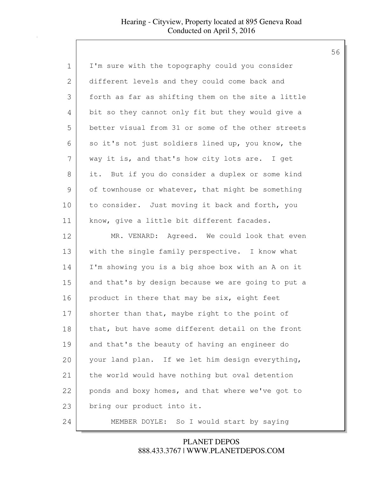| 1             | I'm sure with the topography could you consider    |
|---------------|----------------------------------------------------|
| $\mathbf{2}$  | different levels and they could come back and      |
| 3             | forth as far as shifting them on the site a little |
| 4             | bit so they cannot only fit but they would give a  |
| 5             | better visual from 31 or some of the other streets |
| 6             | so it's not just soldiers lined up, you know, the  |
| 7             | way it is, and that's how city lots are. I get     |
| 8             | it. But if you do consider a duplex or some kind   |
| $\mathcal{G}$ | of townhouse or whatever, that might be something  |
| 10            | to consider. Just moving it back and forth, you    |
| 11            | know, give a little bit different facades.         |
| 12            | MR. VENARD: Agreed. We could look that even        |
| 13            | with the single family perspective. I know what    |
| 14            | I'm showing you is a big shoe box with an A on it  |
| 15            | and that's by design because we are going to put a |
| 16            | product in there that may be six, eight feet       |
| 17            | shorter than that, maybe right to the point of     |
| 18            | that, but have some different detail on the front  |
| 19            | and that's the beauty of having an engineer do     |
| 20            | your land plan. If we let him design everything,   |
| 21            | the world would have nothing but oval detention    |
| 22            | ponds and boxy homes, and that where we've got to  |
| 23            | bring our product into it.                         |
| 24            | MEMBER DOYLE:<br>So I would start by saying        |

888.433.3767 | WWW.PLANETDEPOS.COM PLANET DEPOS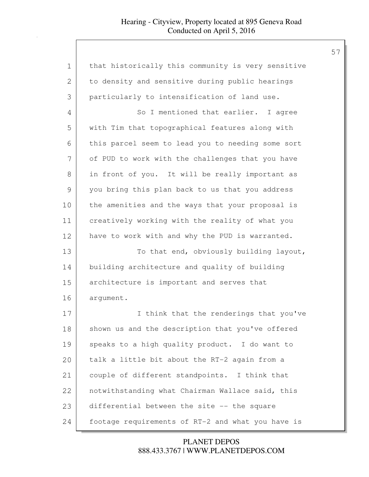| 1            | that historically this community is very sensitive |
|--------------|----------------------------------------------------|
| $\mathbf{2}$ | to density and sensitive during public hearings    |
| 3            | particularly to intensification of land use.       |
| 4            | So I mentioned that earlier. I agree               |
| 5            | with Tim that topographical features along with    |
| 6            | this parcel seem to lead you to needing some sort  |
| 7            | of PUD to work with the challenges that you have   |
| 8            | in front of you. It will be really important as    |
| 9            | you bring this plan back to us that you address    |
| 10           | the amenities and the ways that your proposal is   |
| 11           | creatively working with the reality of what you    |
| 12           | have to work with and why the PUD is warranted.    |
| 13           | To that end, obviously building layout,            |
| 14           | building architecture and quality of building      |
| 15           | architecture is important and serves that          |
| 16           | arqument.                                          |
| 17           | think that the renderings that you've<br>I.        |
| 18           | shown us and the description that you've offered   |
| 19           | speaks to a high quality product. I do want to     |
| 20           | talk a little bit about the RT-2 again from a      |
| 21           | couple of different standpoints. I think that      |
| 22           | notwithstanding what Chairman Wallace said, this   |
| 23           | differential between the site -- the square        |
| 24           | footage requirements of RT-2 and what you have is  |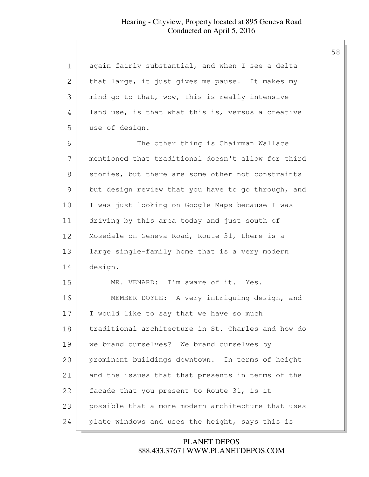| 1             | again fairly substantial, and when I see a delta   |
|---------------|----------------------------------------------------|
| 2             | that large, it just gives me pause. It makes my    |
| 3             | mind go to that, wow, this is really intensive     |
| 4             | land use, is that what this is, versus a creative  |
| 5             | use of design.                                     |
| 6             | The other thing is Chairman Wallace                |
| 7             | mentioned that traditional doesn't allow for third |
| 8             | stories, but there are some other not constraints  |
| $\mathcal{G}$ | but design review that you have to go through, and |
| 10            | I was just looking on Google Maps because I was    |
| 11            | driving by this area today and just south of       |
| 12            | Mosedale on Geneva Road, Route 31, there is a      |
| 13            | large single-family home that is a very modern     |
| 14            | design.                                            |
| 15            | MR. VENARD: I'm aware of it. Yes.                  |
| 16            | MEMBER DOYLE: A very intriguing design, and        |
| 17            | I would like to say that we have so much           |
| 18            | traditional architecture in St. Charles and how do |
| 19            | we brand ourselves? We brand ourselves by          |
| 20            | prominent buildings downtown. In terms of height   |
| 21            | and the issues that that presents in terms of the  |
| 22            | facade that you present to Route 31, is it         |
| 23            | possible that a more modern architecture that uses |
| 24            | plate windows and uses the height, says this is    |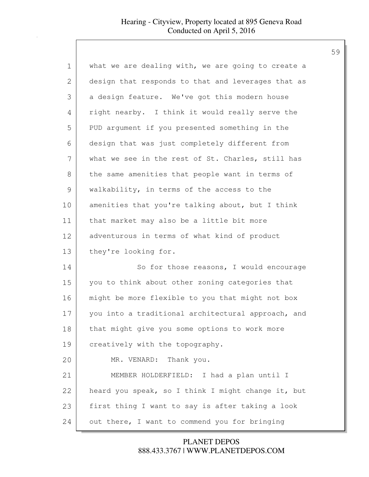| 1  | what we are dealing with, we are going to create a |
|----|----------------------------------------------------|
| 2  | design that responds to that and leverages that as |
| 3  | a design feature. We've got this modern house      |
| 4  | right nearby. I think it would really serve the    |
| 5  | PUD argument if you presented something in the     |
| 6  | design that was just completely different from     |
| 7  | what we see in the rest of St. Charles, still has  |
| 8  | the same amenities that people want in terms of    |
| 9  | walkability, in terms of the access to the         |
| 10 | amenities that you're talking about, but I think   |
| 11 | that market may also be a little bit more          |
| 12 | adventurous in terms of what kind of product       |
| 13 | they're looking for.                               |
| 14 | So for those reasons, I would encourage            |
| 15 | you to think about other zoning categories that    |
| 16 | might be more flexible to you that might not box   |
| 17 | you into a traditional architectural approach, and |
| 18 | that might give you some options to work more      |
| 19 | creatively with the topography.                    |
| 20 | MR. VENARD: Thank you.                             |
| 21 | MEMBER HOLDERFIELD: I had a plan until I           |
| 22 | heard you speak, so I think I might change it, but |
| 23 | first thing I want to say is after taking a look   |
| 24 | out there, I want to commend you for bringing      |

888.433.3767 | WWW.PLANETDEPOS.COM PLANET DEPOS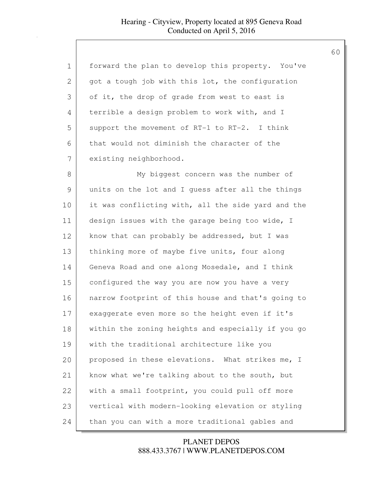| 1            | forward the plan to develop this property. You've  |
|--------------|----------------------------------------------------|
| $\mathbf{2}$ | got a tough job with this lot, the configuration   |
| 3            | of it, the drop of grade from west to east is      |
| 4            | terrible a design problem to work with, and I      |
| 5            | support the movement of RT-1 to RT-2. I think      |
| 6            | that would not diminish the character of the       |
| 7            | existing neighborhood.                             |
| 8            | My biggest concern was the number of               |
| 9            | units on the lot and I guess after all the things  |
| 10           | it was conflicting with, all the side yard and the |
| 11           | design issues with the garage being too wide, I    |
| 12           | know that can probably be addressed, but I was     |
| 13           | thinking more of maybe five units, four along      |
| 14           | Geneva Road and one along Mosedale, and I think    |
| 15           | configured the way you are now you have a very     |
| 16           | narrow footprint of this house and that's going to |
| 17           | exaggerate even more so the height even if it's    |
| $1\,8$       | within the zoning heights and especially if you go |
| 19           | with the traditional architecture like you         |
| 20           | proposed in these elevations. What strikes me, I   |
| 21           | know what we're talking about to the south, but    |
| 22           | with a small footprint, you could pull off more    |
| 23           | vertical with modern-looking elevation or styling  |
| 24           | than you can with a more traditional gables and    |

888.433.3767 | WWW.PLANETDEPOS.COM PLANET DEPOS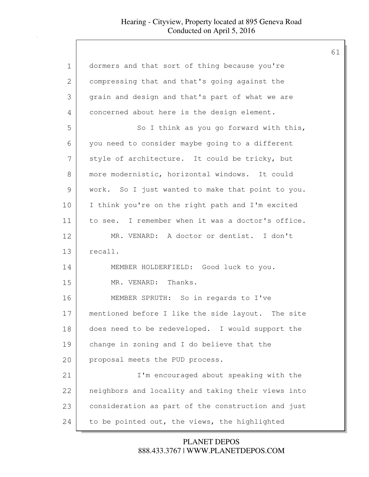| 1             | dormers and that sort of thing because you're      |
|---------------|----------------------------------------------------|
| $\mathbf{2}$  | compressing that and that's going against the      |
| 3             | grain and design and that's part of what we are    |
| 4             | concerned about here is the design element.        |
| 5             | So I think as you go forward with this,            |
| 6             | you need to consider maybe going to a different    |
| 7             | style of architecture. It could be tricky, but     |
| 8             | more modernistic, horizontal windows. It could     |
| $\mathcal{G}$ | work. So I just wanted to make that point to you.  |
| 10            | I think you're on the right path and I'm excited   |
| 11            | to see. I remember when it was a doctor's office.  |
| 12            | MR. VENARD: A doctor or dentist. I don't           |
| 13            | recall.                                            |
| 14            | MEMBER HOLDERFIELD: Good luck to you.              |
| 15            | MR. VENARD: Thanks.                                |
| 16            | MEMBER SPRUTH: So in regards to I've               |
| 17            | mentioned before I like the side layout. The site  |
| 18            | does need to be redeveloped. I would support the   |
| 19            | change in zoning and I do believe that the         |
| 20            | proposal meets the PUD process.                    |
| 21            | I'm encouraged about speaking with the             |
| 22            | neighbors and locality and taking their views into |
| 23            | consideration as part of the construction and just |
| 24            | to be pointed out, the views, the highlighted      |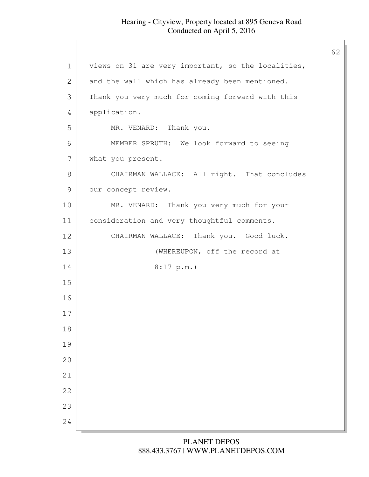| views on 31 are very important, so the localities,<br>$\mathbf 1$<br>2<br>and the wall which has already been mentioned.<br>3<br>Thank you very much for coming forward with this<br>4<br>application.<br>5<br>MR. VENARD: Thank you.<br>6<br>MEMBER SPRUTH: We look forward to seeing<br>7<br>what you present.<br>$8\,$<br>CHAIRMAN WALLACE: All right. That concludes<br>$\mathcal{G}$<br>our concept review.<br>10<br>MR. VENARD: Thank you very much for your<br>11<br>consideration and very thoughtful comments.<br>12<br>CHAIRMAN WALLACE: Thank you. Good luck.<br>13<br>(WHEREUPON, off the record at<br>14<br>8:17 p.m.<br>15<br>16<br>17<br>$1\,8$<br>19<br>20<br>21<br>22<br>23<br>24 |  | 62 |
|----------------------------------------------------------------------------------------------------------------------------------------------------------------------------------------------------------------------------------------------------------------------------------------------------------------------------------------------------------------------------------------------------------------------------------------------------------------------------------------------------------------------------------------------------------------------------------------------------------------------------------------------------------------------------------------------------|--|----|
|                                                                                                                                                                                                                                                                                                                                                                                                                                                                                                                                                                                                                                                                                                    |  |    |
|                                                                                                                                                                                                                                                                                                                                                                                                                                                                                                                                                                                                                                                                                                    |  |    |
|                                                                                                                                                                                                                                                                                                                                                                                                                                                                                                                                                                                                                                                                                                    |  |    |
|                                                                                                                                                                                                                                                                                                                                                                                                                                                                                                                                                                                                                                                                                                    |  |    |
|                                                                                                                                                                                                                                                                                                                                                                                                                                                                                                                                                                                                                                                                                                    |  |    |
|                                                                                                                                                                                                                                                                                                                                                                                                                                                                                                                                                                                                                                                                                                    |  |    |
|                                                                                                                                                                                                                                                                                                                                                                                                                                                                                                                                                                                                                                                                                                    |  |    |
|                                                                                                                                                                                                                                                                                                                                                                                                                                                                                                                                                                                                                                                                                                    |  |    |
|                                                                                                                                                                                                                                                                                                                                                                                                                                                                                                                                                                                                                                                                                                    |  |    |
|                                                                                                                                                                                                                                                                                                                                                                                                                                                                                                                                                                                                                                                                                                    |  |    |
|                                                                                                                                                                                                                                                                                                                                                                                                                                                                                                                                                                                                                                                                                                    |  |    |
|                                                                                                                                                                                                                                                                                                                                                                                                                                                                                                                                                                                                                                                                                                    |  |    |
|                                                                                                                                                                                                                                                                                                                                                                                                                                                                                                                                                                                                                                                                                                    |  |    |
|                                                                                                                                                                                                                                                                                                                                                                                                                                                                                                                                                                                                                                                                                                    |  |    |
|                                                                                                                                                                                                                                                                                                                                                                                                                                                                                                                                                                                                                                                                                                    |  |    |
|                                                                                                                                                                                                                                                                                                                                                                                                                                                                                                                                                                                                                                                                                                    |  |    |
|                                                                                                                                                                                                                                                                                                                                                                                                                                                                                                                                                                                                                                                                                                    |  |    |
|                                                                                                                                                                                                                                                                                                                                                                                                                                                                                                                                                                                                                                                                                                    |  |    |
|                                                                                                                                                                                                                                                                                                                                                                                                                                                                                                                                                                                                                                                                                                    |  |    |
|                                                                                                                                                                                                                                                                                                                                                                                                                                                                                                                                                                                                                                                                                                    |  |    |
|                                                                                                                                                                                                                                                                                                                                                                                                                                                                                                                                                                                                                                                                                                    |  |    |
|                                                                                                                                                                                                                                                                                                                                                                                                                                                                                                                                                                                                                                                                                                    |  |    |
|                                                                                                                                                                                                                                                                                                                                                                                                                                                                                                                                                                                                                                                                                                    |  |    |
|                                                                                                                                                                                                                                                                                                                                                                                                                                                                                                                                                                                                                                                                                                    |  |    |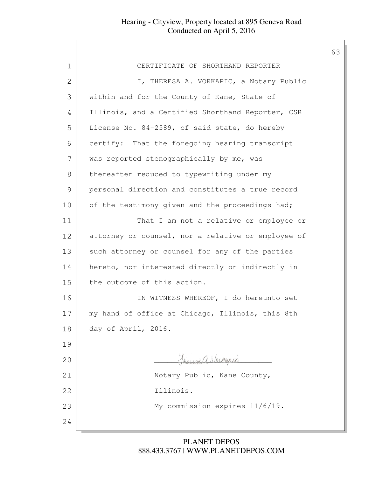| CERTIFICATE OF SHORTHAND REPORTER                  |
|----------------------------------------------------|
| I, THERESA A. VORKAPIC, a Notary Public            |
| within and for the County of Kane, State of        |
| Illinois, and a Certified Shorthand Reporter, CSR  |
| License No. 84-2589, of said state, do hereby      |
| certify: That the foregoing hearing transcript     |
| was reported stenographically by me, was           |
| thereafter reduced to typewriting under my         |
| personal direction and constitutes a true record   |
| of the testimony given and the proceedings had;    |
| That I am not a relative or employee or            |
| attorney or counsel, nor a relative or employee of |
| such attorney or counsel for any of the parties    |
| hereto, nor interested directly or indirectly in   |
| the outcome of this action.                        |
| IN WITNESS WHEREOF, I do hereunto set              |
| my hand of office at Chicago, Illinois, this 8th   |
| day of April, 2016.                                |
|                                                    |
| Freugh Verkepic                                    |
| Notary Public, Kane County,                        |
| Illinois.                                          |
| My commission expires 11/6/19.                     |
|                                                    |
|                                                    |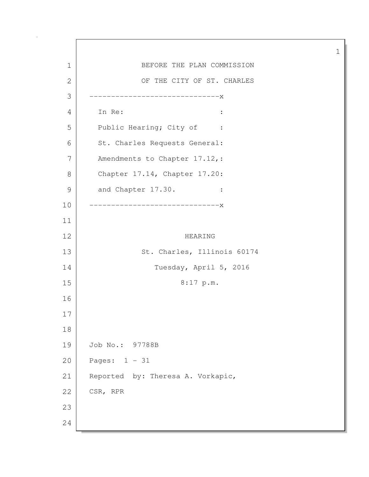1 BEFORE THE PLAN COMMISSION 2 OF THE CITY OF ST. CHARLES 3 ------------------------------x 4 In Re: : 5 Public Hearing; City of : 6 St. Charles Requests General: 7 Amendments to Chapter 17.12, : 8 Chapter 17.14, Chapter 17.20: 9 and Chapter 17.30. : 10 ------------------------------x 11 12 HEARING 13 St. Charles, Illinois 60174 14 Tuesday, April 5, 2016 15 8:17 p.m. 16 17 18 19 Job No.: 97788B 20 Pages: 1 - 31 21 Reported by: Theresa A. Vorkapic, 22 | CSR, RPR 23 24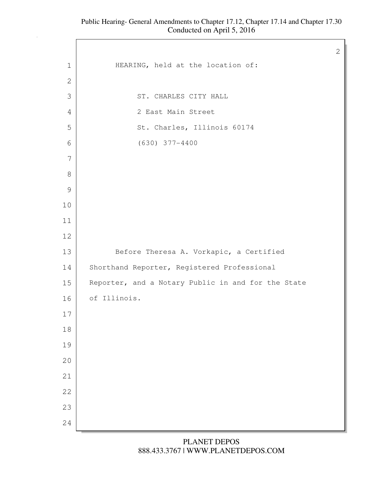1 HEARING, held at the location of: 3 ST. CHARLES CITY HALL 2 East Main Street 5 St. Charles, Illinois 60174 (630) 377-4400 13 Before Theresa A. Vorkapic, a Certified 14 Shorthand Reporter, Registered Professional 15 Reporter, and a Notary Public in and for the State of Illinois.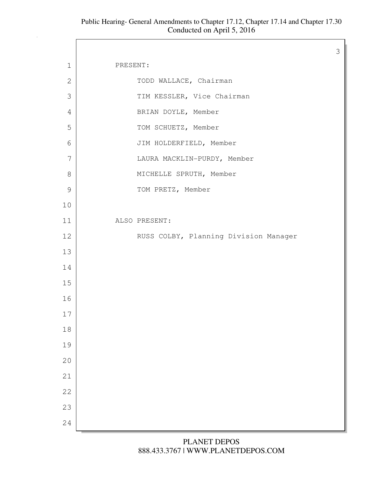#### Public Hearing- General Amendments to Chapter 17.12, Chapter 17.14 and Chapter 17.30 Conducted on April 5, 2016

Г

|               |                                       | 3 |
|---------------|---------------------------------------|---|
| $\mathbf 1$   | PRESENT:                              |   |
| $\mathbf{2}$  | TODD WALLACE, Chairman                |   |
| 3             | TIM KESSLER, Vice Chairman            |   |
| 4             | BRIAN DOYLE, Member                   |   |
| 5             | TOM SCHUETZ, Member                   |   |
| 6             | JIM HOLDERFIELD, Member               |   |
| 7             | LAURA MACKLIN-PURDY, Member           |   |
| 8             | MICHELLE SPRUTH, Member               |   |
| $\mathcal{G}$ | TOM PRETZ, Member                     |   |
| 10            |                                       |   |
| 11            | ALSO PRESENT:                         |   |
| 12            | RUSS COLBY, Planning Division Manager |   |
| 13            |                                       |   |
| 14            |                                       |   |
| 15            |                                       |   |
| 16            |                                       |   |
| 17            |                                       |   |
| $1\,8$        |                                       |   |
| 19            |                                       |   |
| 20            |                                       |   |
| 21            |                                       |   |
| 22            |                                       |   |
| 23            |                                       |   |
| 24            |                                       |   |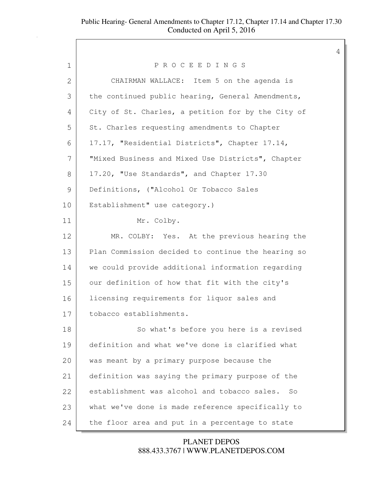| 1  | PROCEEDINGS                                        |
|----|----------------------------------------------------|
| 2  | CHAIRMAN WALLACE: Item 5 on the agenda is          |
| 3  | the continued public hearing, General Amendments,  |
| 4  | City of St. Charles, a petition for by the City of |
| 5  | St. Charles requesting amendments to Chapter       |
| 6  | 17.17, "Residential Districts", Chapter 17.14,     |
| 7  | "Mixed Business and Mixed Use Districts", Chapter  |
| 8  | 17.20, "Use Standards", and Chapter 17.30          |
| 9  | Definitions, ("Alcohol Or Tobacco Sales            |
| 10 | Establishment" use category.)                      |
| 11 | Mr. Colby.                                         |
| 12 | MR. COLBY: Yes. At the previous hearing the        |
| 13 | Plan Commission decided to continue the hearing so |
| 14 | we could provide additional information regarding  |
| 15 | our definition of how that fit with the city's     |
| 16 | licensing requirements for liquor sales and        |
| 17 | tobacco establishments.                            |
| 18 | So what's before you here is a revised             |
| 19 | definition and what we've done is clarified what   |
| 20 | was meant by a primary purpose because the         |
| 21 | definition was saying the primary purpose of the   |
| 22 | establishment was alcohol and tobacco sales.<br>So |
| 23 | what we've done is made reference specifically to  |
| 24 | the floor area and put in a percentage to state    |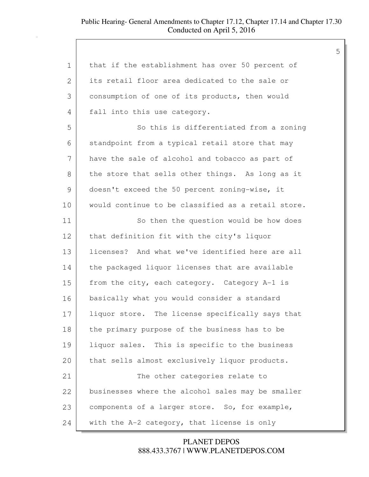# Public Hearing- General Amendments to Chapter 17.12, Chapter 17.14 and Chapter 17.30 Conducted on April 5, 2016

| $\mathbf 1$ | that if the establishment has over 50 percent of   |
|-------------|----------------------------------------------------|
| 2           | its retail floor area dedicated to the sale or     |
| 3           | consumption of one of its products, then would     |
| 4           | fall into this use category.                       |
| 5           | So this is differentiated from a zoning            |
| 6           | standpoint from a typical retail store that may    |
| 7           | have the sale of alcohol and tobacco as part of    |
| 8           | the store that sells other things. As long as it   |
| 9           | doesn't exceed the 50 percent zoning-wise, it      |
| 10          | would continue to be classified as a retail store. |
| 11          | So then the question would be how does             |
| 12          | that definition fit with the city's liquor         |
| 13          | licenses? And what we've identified here are all   |
| 14          | the packaged liquor licenses that are available    |
| 15          | from the city, each category. Category A-1 is      |
| 16          | basically what you would consider a standard       |
| 17          | liquor store. The license specifically says that   |
| 18          | the primary purpose of the business has to be      |
| 19          | liquor sales. This is specific to the business     |
| 20          | that sells almost exclusively liquor products.     |
| 21          | The other categories relate to                     |
| 22          | businesses where the alcohol sales may be smaller  |
| 23          | components of a larger store. So, for example,     |
| 24          | with the A-2 category, that license is only        |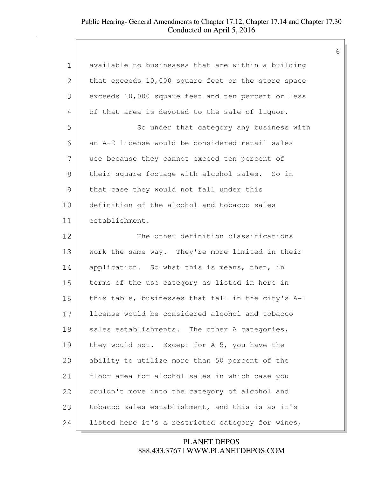# Public Hearing- General Amendments to Chapter 17.12, Chapter 17.14 and Chapter 17.30 Conducted on April 5, 2016

| $\mathbf 1$   | available to businesses that are within a building |
|---------------|----------------------------------------------------|
| 2             | that exceeds 10,000 square feet or the store space |
| 3             | exceeds 10,000 square feet and ten percent or less |
| 4             | of that area is devoted to the sale of liquor.     |
| 5             | So under that category any business with           |
| 6             | an A-2 license would be considered retail sales    |
| 7             | use because they cannot exceed ten percent of      |
| 8             | their square footage with alcohol sales. So in     |
| $\mathcal{G}$ | that case they would not fall under this           |
| 10            | definition of the alcohol and tobacco sales        |
| 11            | establishment.                                     |
| 12            | The other definition classifications               |
| 13            | work the same way. They're more limited in their   |
| 14            | application. So what this is means, then, in       |
| 15            | terms of the use category as listed in here in     |
| 16            | this table, businesses that fall in the city's A-1 |
| 17            | license would be considered alcohol and tobacco    |
| 18            | sales establishments. The other A categories,      |
| 19            | they would not. Except for A-5, you have the       |
| 20            | ability to utilize more than 50 percent of the     |
| 21            | floor area for alcohol sales in which case you     |
| 22            | couldn't move into the category of alcohol and     |
| 23            | tobacco sales establishment, and this is as it's   |
| 24            | listed here it's a restricted category for wines,  |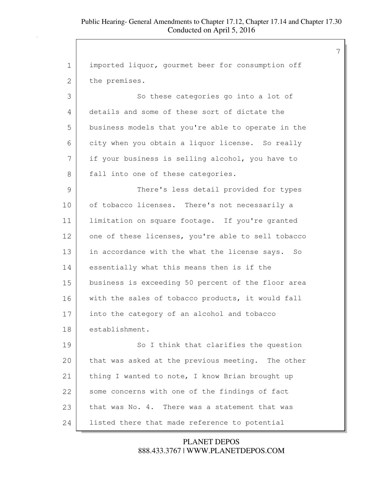7

1 imported liquor, gourmet beer for consumption off 2 the premises. 3 So these categories go into a lot of 4 details and some of these sort of dictate the 5 business models that you're able to operate in the 6 city when you obtain a liquor license. So really 7 if your business is selling alcohol, you have to 8 | fall into one of these categories. 9 There's less detail provided for types 10 of tobacco licenses. There's not necessarily a 11 | limitation on square footage. If you're granted 12 one of these licenses, you're able to sell tobacco 13 in accordance with the what the license says. So 14 essentially what this means then is if the 15 business is exceeding 50 percent of the floor area 16 with the sales of tobacco products, it would fall 17 into the category of an alcohol and tobacco 18 establishment. 19 So I think that clarifies the question 20 that was asked at the previous meeting. The other 21 | thing I wanted to note, I know Brian brought up 22 some concerns with one of the findings of fact 23 that was No. 4. There was a statement that was 24 listed there that made reference to potential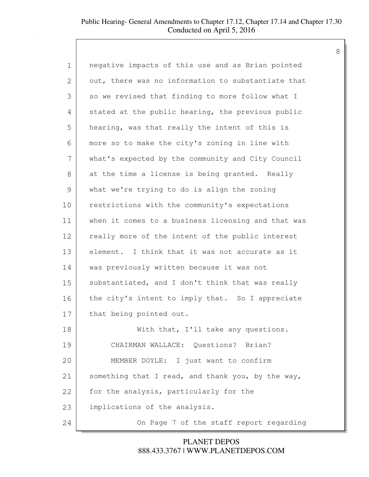| $\mathbf 1$ | negative impacts of this use and as Brian pointed  |
|-------------|----------------------------------------------------|
| 2           | out, there was no information to substantiate that |
| 3           | so we revised that finding to more follow what I   |
| 4           | stated at the public hearing, the previous public  |
| 5           | hearing, was that really the intent of this is     |
| 6           | more so to make the city's zoning in line with     |
| 7           | what's expected by the community and City Council  |
| 8           | at the time a license is being granted. Really     |
| 9           | what we're trying to do is align the zoning        |
| 10          | restrictions with the community's expectations     |
| 11          | when it comes to a business licensing and that was |
| 12          | really more of the intent of the public interest   |
| 13          | element. I think that it was not accurate as it    |
| 14          | was previously written because it was not          |
| 15          | substantiated, and I don't think that was really   |
| 16          | the city's intent to imply that. So I appreciate   |
| 17          | that being pointed out.                            |
| 18          | With that, I'll take any questions.                |
| 19          | CHAIRMAN WALLACE: Questions? Brian?                |
| 20          | MEMBER DOYLE: I just want to confirm               |
| 21          | something that I read, and thank you, by the way,  |
| 22          | for the analysis, particularly for the             |
| 23          | implications of the analysis.                      |
| 24          | On Page 7 of the staff report regarding            |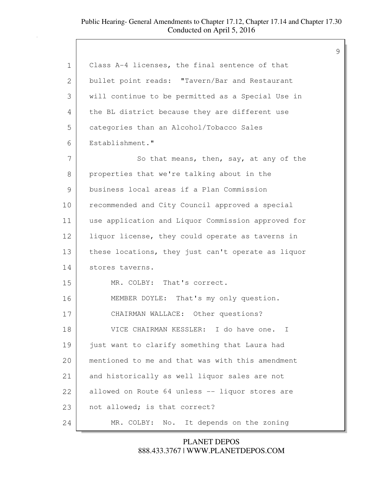| $\mathbf 1$  | Class A-4 licenses, the final sentence of that     |
|--------------|----------------------------------------------------|
| $\mathbf{2}$ | bullet point reads: "Tavern/Bar and Restaurant     |
| 3            | will continue to be permitted as a Special Use in  |
| 4            | the BL district because they are different use     |
| 5            | categories than an Alcohol/Tobacco Sales           |
| 6            | Establishment."                                    |
| 7            | So that means, then, say, at any of the            |
| 8            | properties that we're talking about in the         |
| 9            | business local areas if a Plan Commission          |
| 10           | recommended and City Council approved a special    |
| 11           | use application and Liquor Commission approved for |
| 12           | liquor license, they could operate as taverns in   |
| 13           | these locations, they just can't operate as liquor |
| 14           | stores taverns.                                    |
| 15           | MR. COLBY: That's correct.                         |
| 16           | MEMBER DOYLE: That's my only question.             |
| 17           | CHAIRMAN WALLACE: Other questions?                 |
| 18           | VICE CHAIRMAN KESSLER: I do have one. I            |
| 19           | just want to clarify something that Laura had      |
| 20           | mentioned to me and that was with this amendment   |
| 21           | and historically as well liquor sales are not      |
| 22           | allowed on Route 64 unless -- liquor stores are    |
| 23           | not allowed; is that correct?                      |
| 24           | It depends on the zoning<br>MR. COLBY:<br>No.      |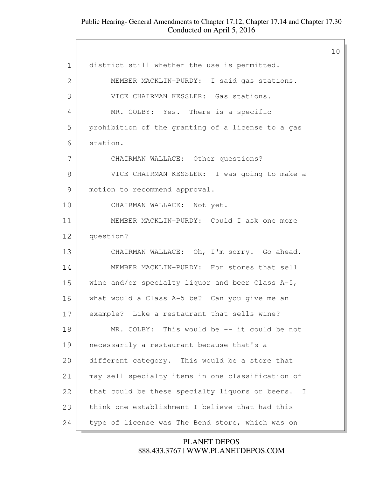|               |                                                   | 10 |
|---------------|---------------------------------------------------|----|
| 1             | district still whether the use is permitted.      |    |
| 2             | MEMBER MACKLIN-PURDY: I said gas stations.        |    |
| 3             | VICE CHAIRMAN KESSLER: Gas stations.              |    |
| 4             | MR. COLBY: Yes. There is a specific               |    |
| 5             | prohibition of the granting of a license to a gas |    |
| 6             | station.                                          |    |
| 7             | CHAIRMAN WALLACE: Other questions?                |    |
| 8             | VICE CHAIRMAN KESSLER: I was going to make a      |    |
| $\mathcal{G}$ | motion to recommend approval.                     |    |
| 10            | CHAIRMAN WALLACE: Not yet.                        |    |
| 11            | MEMBER MACKLIN-PURDY: Could I ask one more        |    |
| 12            | question?                                         |    |
| 13            | CHAIRMAN WALLACE: Oh, I'm sorry. Go ahead.        |    |
| 14            | MEMBER MACKLIN-PURDY: For stores that sell        |    |
| 15            | wine and/or specialty liquor and beer Class A-5,  |    |
| 16            | what would a Class A-5 be? Can you give me an     |    |
| 17            | example? Like a restaurant that sells wine?       |    |
| 18            | MR. COLBY: This would be -- it could be not       |    |
| 19            | necessarily a restaurant because that's a         |    |
| 20            | different category. This would be a store that    |    |
| 21            | may sell specialty items in one classification of |    |
| 22            | that could be these specialty liquors or beers. I |    |
| 23            | think one establishment I believe that had this   |    |
| 24            | type of license was The Bend store, which was on  |    |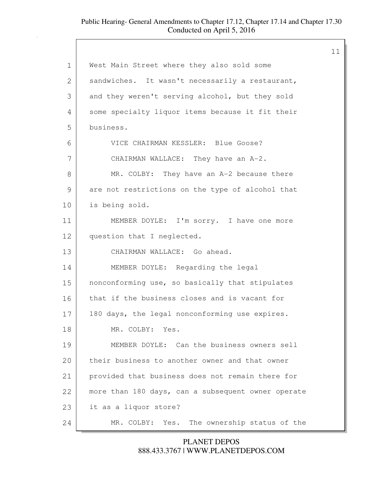|               |                                                    | 11 |
|---------------|----------------------------------------------------|----|
| $\mathbf 1$   | West Main Street where they also sold some         |    |
| 2             | sandwiches. It wasn't necessarily a restaurant,    |    |
| 3             | and they weren't serving alcohol, but they sold    |    |
| 4             | some specialty liquor items because it fit their   |    |
| 5             | business.                                          |    |
| 6             | VICE CHAIRMAN KESSLER: Blue Goose?                 |    |
| 7             | CHAIRMAN WALLACE: They have an A-2.                |    |
| 8             | MR. COLBY: They have an A-2 because there          |    |
| $\mathcal{G}$ | are not restrictions on the type of alcohol that   |    |
| 10            | is being sold.                                     |    |
| 11            | MEMBER DOYLE: I'm sorry. I have one more           |    |
| 12            | question that I neglected.                         |    |
| 13            | CHAIRMAN WALLACE: Go ahead.                        |    |
| 14            | MEMBER DOYLE: Regarding the legal                  |    |
| 15            | nonconforming use, so basically that stipulates    |    |
| 16            | that if the business closes and is vacant for      |    |
| 17            | 180 days, the legal nonconforming use expires.     |    |
| 18            | MR. COLBY: Yes.                                    |    |
| 19            | MEMBER DOYLE: Can the business owners sell         |    |
| 20            | their business to another owner and that owner     |    |
| 21            | provided that business does not remain there for   |    |
| 22            | more than 180 days, can a subsequent owner operate |    |
| 23            | it as a liquor store?                              |    |
| 24            | The ownership status of the<br>MR. COLBY:<br>Yes.  |    |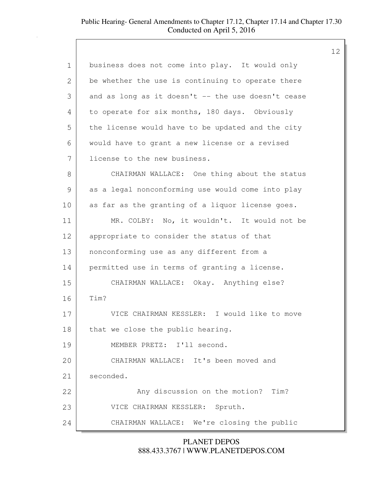| $\mathbf 1$   | business does not come into play. It would only    |
|---------------|----------------------------------------------------|
| 2             | be whether the use is continuing to operate there  |
| 3             | and as long as it doesn't -- the use doesn't cease |
| 4             | to operate for six months, 180 days. Obviously     |
| 5             | the license would have to be updated and the city  |
| 6             | would have to grant a new license or a revised     |
| 7             | license to the new business.                       |
| 8             | CHAIRMAN WALLACE: One thing about the status       |
| $\mathcal{G}$ | as a legal nonconforming use would come into play  |
| 10            | as far as the granting of a liquor license goes.   |
| 11            | MR. COLBY: No, it wouldn't. It would not be        |
| 12            | appropriate to consider the status of that         |
| 13            | nonconforming use as any different from a          |
| 14            | permitted use in terms of granting a license.      |
| 15            | CHAIRMAN WALLACE: Okay. Anything else?             |
| 16            | Tim?                                               |
| 17            | VICE CHAIRMAN KESSLER: I would like to move        |
| 18            | that we close the public hearing.                  |
| 19            | MEMBER PRETZ: I'll second.                         |
| 20            | CHAIRMAN WALLACE: It's been moved and              |
| 21            | seconded.                                          |
| 22            | Any discussion on the motion?<br>Tim?              |
| 23            | VICE CHAIRMAN KESSLER: Spruth.                     |
| 24            | CHAIRMAN WALLACE: We're closing the public         |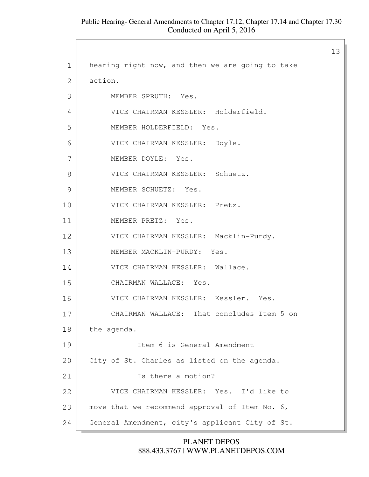$\Gamma$ 

|               |                                                  | 13 |
|---------------|--------------------------------------------------|----|
| $\mathbf 1$   | hearing right now, and then we are going to take |    |
| 2             | action.                                          |    |
| 3             | MEMBER SPRUTH: Yes.                              |    |
| 4             | VICE CHAIRMAN KESSLER: Holderfield.              |    |
| 5             | MEMBER HOLDERFIELD: Yes.                         |    |
| 6             | VICE CHAIRMAN KESSLER: Doyle.                    |    |
| 7             | MEMBER DOYLE: Yes.                               |    |
| 8             | VICE CHAIRMAN KESSLER: Schuetz.                  |    |
| $\mathcal{G}$ | MEMBER SCHUETZ: Yes.                             |    |
| 10            | VICE CHAIRMAN KESSLER: Pretz.                    |    |
| 11            | MEMBER PRETZ: Yes.                               |    |
| 12            | VICE CHAIRMAN KESSLER: Macklin-Purdy.            |    |
| 13            | MEMBER MACKLIN-PURDY: Yes.                       |    |
| 14            | VICE CHAIRMAN KESSLER: Wallace.                  |    |
| 15            | CHAIRMAN WALLACE: Yes.                           |    |
| 16            | VICE CHAIRMAN KESSLER: Kessler. Yes.             |    |
| 17            | CHAIRMAN WALLACE: That concludes Item 5 on       |    |
| 18            | the agenda.                                      |    |
| 19            | Item 6 is General Amendment                      |    |
| 20            | City of St. Charles as listed on the agenda.     |    |
| 21            | Is there a motion?                               |    |
| 22            | VICE CHAIRMAN KESSLER: Yes. I'd like to          |    |
| 23            | move that we recommend approval of Item No. 6,   |    |
| 24            | General Amendment, city's applicant City of St.  |    |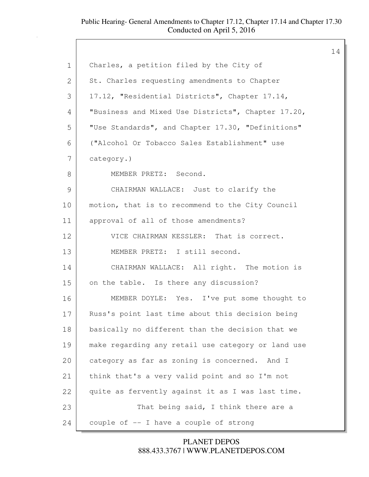$\sqrt{ }$ 

|                |                                                    | 14 |
|----------------|----------------------------------------------------|----|
| $\mathbf 1$    | Charles, a petition filed by the City of           |    |
| $\overline{2}$ | St. Charles requesting amendments to Chapter       |    |
| 3              | 17.12, "Residential Districts", Chapter 17.14,     |    |
| 4              | "Business and Mixed Use Districts", Chapter 17.20, |    |
| 5              | "Use Standards", and Chapter 17.30, "Definitions"  |    |
| 6              | ("Alcohol Or Tobacco Sales Establishment" use      |    |
| 7              | category.)                                         |    |
| 8              | MEMBER PRETZ: Second.                              |    |
| $\mathcal{G}$  | CHAIRMAN WALLACE: Just to clarify the              |    |
| 10             | motion, that is to recommend to the City Council   |    |
| 11             | approval of all of those amendments?               |    |
| 12             | VICE CHAIRMAN KESSLER: That is correct.            |    |
| 13             | MEMBER PRETZ: I still second.                      |    |
| 14             | CHAIRMAN WALLACE: All right. The motion is         |    |
| 15             | on the table. Is there any discussion?             |    |
| 16             | MEMBER DOYLE: Yes. I've put some thought to        |    |
| 17             | Russ's point last time about this decision being   |    |
| 18             | basically no different than the decision that we   |    |
| 19             | make regarding any retail use category or land use |    |
| 20             | category as far as zoning is concerned. And I      |    |
| 21             | think that's a very valid point and so I'm not     |    |
| 22             | quite as fervently against it as I was last time.  |    |
| 23             | That being said, I think there are a               |    |
| 24             | couple of -- I have a couple of strong             |    |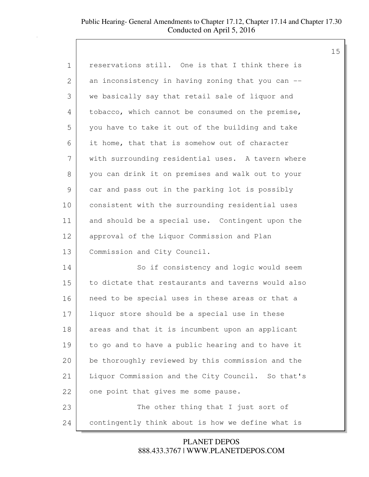| 1  | reservations still. One is that I think there is   |
|----|----------------------------------------------------|
| 2  | an inconsistency in having zoning that you can --  |
| 3  | we basically say that retail sale of liquor and    |
| 4  | tobacco, which cannot be consumed on the premise,  |
| 5  | you have to take it out of the building and take   |
| 6  | it home, that that is somehow out of character     |
| 7  | with surrounding residential uses. A tavern where  |
| 8  | you can drink it on premises and walk out to your  |
| 9  | car and pass out in the parking lot is possibly    |
| 10 | consistent with the surrounding residential uses   |
| 11 | and should be a special use. Contingent upon the   |
| 12 | approval of the Liquor Commission and Plan         |
| 13 | Commission and City Council.                       |
| 14 | So if consistency and logic would seem             |
| 15 | to dictate that restaurants and taverns would also |
| 16 | need to be special uses in these areas or that a   |
| 17 | liquor store should be a special use in these      |
| 18 | areas and that it is incumbent upon an applicant   |
| 19 | to go and to have a public hearing and to have it  |
| 20 | be thoroughly reviewed by this commission and the  |
| 21 | Liquor Commission and the City Council. So that's  |
| 22 | one point that gives me some pause.                |

23 The other thing that I just sort of 24 contingently think about is how we define what is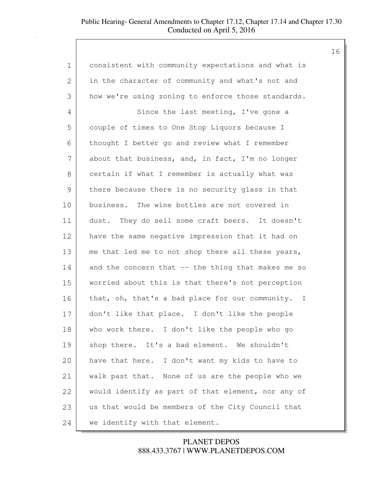1 consistent with community expectations and what is 2 in the character of community and what's not and 3 how we're using zoning to enforce those standards. 4 Since the last meeting, I've gone a 5 couple of times to One Stop Liquors because I 6 thought I better go and review what I remember 7 about that business, and, in fact, I'm no longer 8 certain if what I remember is actually what was 9 there because there is no security glass in that 10 business. The wine bottles are not covered in 11 dust. They do sell some craft beers. It doesn't 12 have the same negative impression that it had on 13 | me that led me to not shop there all these years,  $14$  and the concern that  $-$  the thing that makes me so 15 worried about this is that there's not perception 16 that, oh, that's a bad place for our community. I 17 don't like that place. I don't like the people 18 who work there. I don't like the people who go 19 shop there. It's a bad element. We shouldn't 20 have that here. I don't want my kids to have to 21 walk past that. None of us are the people who we 22 would identify as part of that element, nor any of 23 us that would be members of the City Council that 24 we identify with that element.

> 888.433.3767 | WWW.PLANETDEPOS.COM PLANET DEPOS

16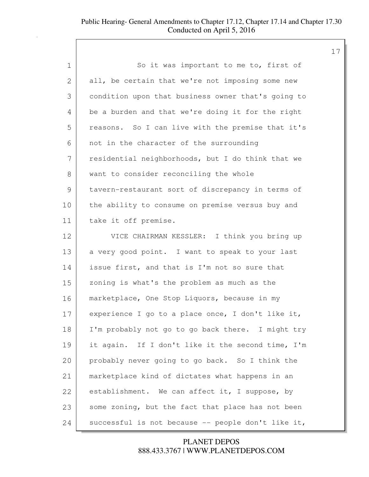| $\mathbf 1$ | So it was important to me to, first of             |
|-------------|----------------------------------------------------|
| 2           | all, be certain that we're not imposing some new   |
| 3           | condition upon that business owner that's going to |
| 4           | be a burden and that we're doing it for the right  |
| 5           | reasons. So I can live with the premise that it's  |
| 6           | not in the character of the surrounding            |
| 7           | residential neighborhoods, but I do think that we  |
| 8           | want to consider reconciling the whole             |
| 9           | tavern-restaurant sort of discrepancy in terms of  |
| 10          | the ability to consume on premise versus buy and   |
| 11          | take it off premise.                               |
| 12          | VICE CHAIRMAN KESSLER: I think you bring up        |
| 13          | a very good point. I want to speak to your last    |
| 14          | issue first, and that is I'm not so sure that      |
| 15          | zoning is what's the problem as much as the        |
| 16          | marketplace, One Stop Liquors, because in my       |
| 17          | experience I go to a place once, I don't like it,  |
| 18          | I'm probably not go to go back there. I might try  |
| 19          | it again. If I don't like it the second time, I'm  |
| 20          | probably never going to go back. So I think the    |
| 21          | marketplace kind of dictates what happens in an    |
| 22          | establishment. We can affect it, I suppose, by     |
| 23          | some zoning, but the fact that place has not been  |
| 24          | successful is not because -- people don't like it, |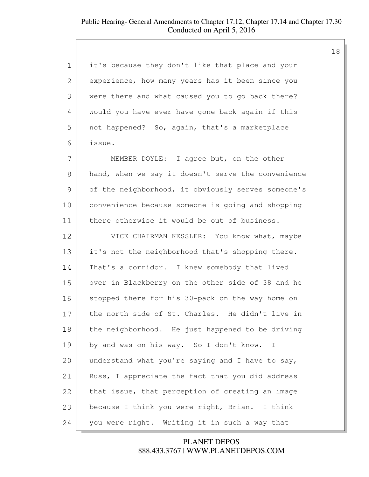| 1             | it's because they don't like that place and your   |
|---------------|----------------------------------------------------|
| $\mathbf{2}$  | experience, how many years has it been since you   |
| 3             | were there and what caused you to go back there?   |
| 4             | Would you have ever have gone back again if this   |
| 5             | not happened? So, again, that's a marketplace      |
| 6             | issue.                                             |
| 7             | MEMBER DOYLE: I agree but, on the other            |
| 8             | hand, when we say it doesn't serve the convenience |
| $\mathcal{G}$ | of the neighborhood, it obviously serves someone's |
| 10            | convenience because someone is going and shopping  |
| 11            | there otherwise it would be out of business.       |
| 12            | VICE CHAIRMAN KESSLER: You know what, maybe        |
| 13            | it's not the neighborhood that's shopping there.   |
| 14            | That's a corridor. I knew somebody that lived      |
| 15            | over in Blackberry on the other side of 38 and he  |
| 16            | stopped there for his 30-pack on the way home on   |
| 17            | the north side of St. Charles. He didn't live in   |
| 18            | the neighborhood. He just happened to be driving   |
| 19            | by and was on his way. So I don't know. I          |
| 20            | understand what you're saying and I have to say,   |
| 21            | Russ, I appreciate the fact that you did address   |
| 22            | that issue, that perception of creating an image   |
| 23            | because I think you were right, Brian. I think     |
| 24            | you were right. Writing it in such a way that      |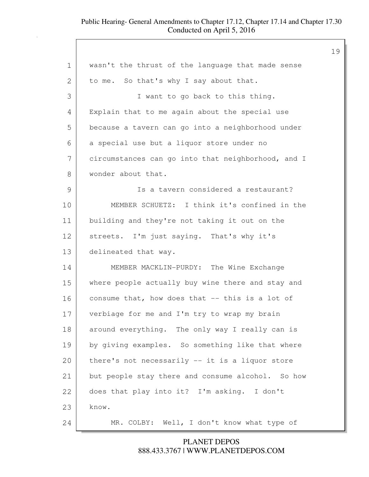|             |                                                    | 19 |
|-------------|----------------------------------------------------|----|
| $\mathbf 1$ | wasn't the thrust of the language that made sense  |    |
| 2           | to me. So that's why I say about that.             |    |
| 3           | I want to go back to this thing.                   |    |
| 4           | Explain that to me again about the special use     |    |
| 5           | because a tavern can go into a neighborhood under  |    |
| 6           | a special use but a liquor store under no          |    |
| 7           | circumstances can go into that neighborhood, and I |    |
| 8           | wonder about that.                                 |    |
| 9           | Is a tavern considered a restaurant?               |    |
| 10          | MEMBER SCHUETZ: I think it's confined in the       |    |
| 11          | building and they're not taking it out on the      |    |
| 12          | streets. I'm just saying. That's why it's          |    |
| 13          | delineated that way.                               |    |
| 14          | MEMBER MACKLIN-PURDY:<br>The Wine Exchange         |    |
| 15          | where people actually buy wine there and stay and  |    |
| 16          | consume that, how does that -- this is a lot of    |    |
| 17          | verbiage for me and I'm try to wrap my brain       |    |
| 18          | around everything. The only way I really can is    |    |
| 19          | by giving examples. So something like that where   |    |
| 20          | there's not necessarily -- it is a liquor store    |    |
| 21          | but people stay there and consume alcohol. So how  |    |
| 22          | does that play into it? I'm asking. I don't        |    |
| 23          | know.                                              |    |
| 24          | MR. COLBY: Well, I don't know what type of         |    |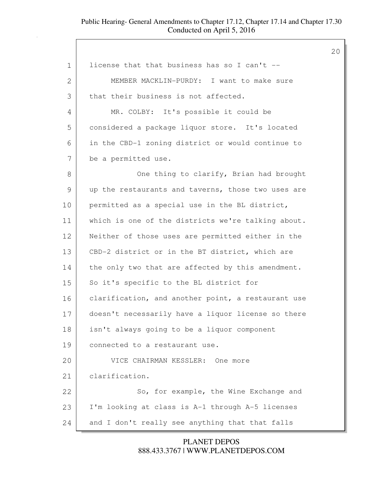| $\mathbf 1$ | license that that business has so I can't --       |
|-------------|----------------------------------------------------|
| 2           | MEMBER MACKLIN-PURDY: I want to make sure          |
| 3           | that their business is not affected.               |
| 4           | MR. COLBY: It's possible it could be               |
| 5           | considered a package liquor store. It's located    |
| 6           | in the CBD-1 zoning district or would continue to  |
| 7           | be a permitted use.                                |
| 8           | One thing to clarify, Brian had brought            |
| 9           | up the restaurants and taverns, those two uses are |
| 10          | permitted as a special use in the BL district,     |
| 11          | which is one of the districts we're talking about. |
| 12          | Neither of those uses are permitted either in the  |
| 13          | CBD-2 district or in the BT district, which are    |
| 14          | the only two that are affected by this amendment.  |
| 15          | So it's specific to the BL district for            |
| 16          | clarification, and another point, a restaurant use |
| 17          | doesn't necessarily have a liquor license so there |
| 18          | isn't always going to be a liquor component        |
| 19          | connected to a restaurant use.                     |
| 20          | VICE CHAIRMAN KESSLER: One more                    |
| 21          | clarification.                                     |
| 22          | So, for example, the Wine Exchange and             |
| 23          | I'm looking at class is A-1 through A-5 licenses   |
| 24          | and I don't really see anything that that falls    |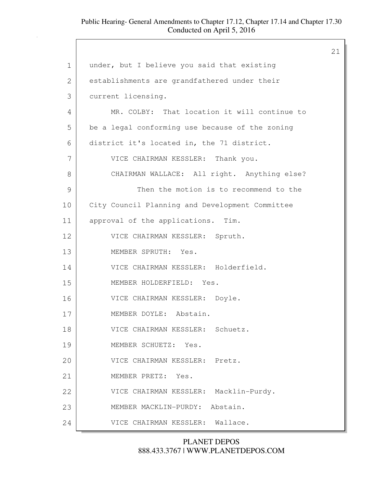|                |                                                 | 21 |
|----------------|-------------------------------------------------|----|
| $\mathbf 1$    | under, but I believe you said that existing     |    |
| $\overline{2}$ | establishments are grandfathered under their    |    |
| 3              | current licensing.                              |    |
| 4              | MR. COLBY: That location it will continue to    |    |
| 5              | be a legal conforming use because of the zoning |    |
| 6              | district it's located in, the 71 district.      |    |
| 7              | VICE CHAIRMAN KESSLER: Thank you.               |    |
| 8              | CHAIRMAN WALLACE: All right. Anything else?     |    |
| 9              | Then the motion is to recommend to the          |    |
| 10             | City Council Planning and Development Committee |    |
| 11             | approval of the applications. Tim.              |    |
| 12             | VICE CHAIRMAN KESSLER: Spruth.                  |    |
| 13             | MEMBER SPRUTH: Yes.                             |    |
| 14             | VICE CHAIRMAN KESSLER: Holderfield.             |    |
| 15             | MEMBER HOLDERFIELD: Yes.                        |    |
| 16             | VICE CHAIRMAN KESSLER: Doyle.                   |    |
| 17             | MEMBER DOYLE: Abstain.                          |    |
| 18             | VICE CHAIRMAN KESSLER: Schuetz.                 |    |
| 19             | MEMBER SCHUETZ: Yes.                            |    |
| 20             | VICE CHAIRMAN KESSLER: Pretz.                   |    |
| 21             | MEMBER PRETZ: Yes.                              |    |
| 22             | VICE CHAIRMAN KESSLER:<br>Macklin-Purdy.        |    |
| 23             | Abstain.<br>MEMBER MACKLIN-PURDY:               |    |
| 24             | VICE CHAIRMAN KESSLER: Wallace.                 |    |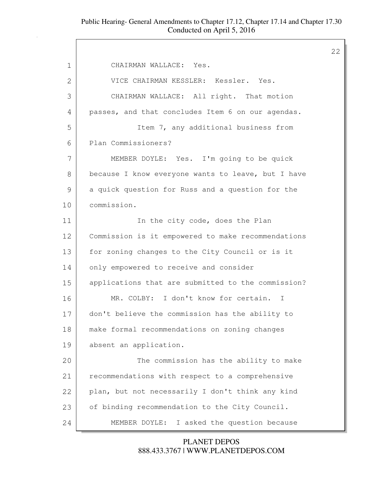22

1 CHAIRMAN WALLACE: Yes. 2 VICE CHAIRMAN KESSLER: Kessler. Yes. 3 CHAIRMAN WALLACE: All right. That motion 4 passes, and that concludes Item 6 on our agendas. 5 Item 7, any additional business from 6 Plan Commissioners? 7 MEMBER DOYLE: Yes. I'm going to be quick 8 because I know everyone wants to leave, but I have 9 a quick question for Russ and a question for the 10 commission. 11 In the city code, does the Plan 12 Commission is it empowered to make recommendations 13 | for zoning changes to the City Council or is it 14 only empowered to receive and consider 15 applications that are submitted to the commission? 16 MR. COLBY: I don't know for certain. I 17 don't believe the commission has the ability to 18 | make formal recommendations on zoning changes 19 absent an application. 20 The commission has the ability to make 21 recommendations with respect to a comprehensive 22 plan, but not necessarily I don't think any kind 23 | of binding recommendation to the City Council. 24 MEMBER DOYLE: I asked the question because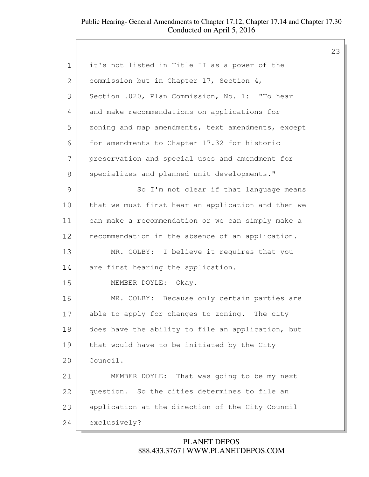| $\mathbf 1$   | it's not listed in Title II as a power of the      |
|---------------|----------------------------------------------------|
| $\mathbf{2}$  | commission but in Chapter 17, Section 4,           |
| 3             | Section .020, Plan Commission, No. 1: "To hear     |
| 4             | and make recommendations on applications for       |
| 5             | zoning and map amendments, text amendments, except |
| 6             | for amendments to Chapter 17.32 for historic       |
| 7             | preservation and special uses and amendment for    |
| $8\,$         | specializes and planned unit developments."        |
| $\mathcal{G}$ | So I'm not clear if that language means            |
| 10            | that we must first hear an application and then we |
| 11            | can make a recommendation or we can simply make a  |
| 12            | recommendation in the absence of an application.   |
| 13            | MR. COLBY: I believe it requires that you          |
| 14            | are first hearing the application.                 |
| 15            | MEMBER DOYLE: Okay.                                |
| 16            | MR. COLBY: Because only certain parties are        |
| 17            | able to apply for changes to zoning. The city      |
| 18            | does have the ability to file an application, but  |
| 19            | that would have to be initiated by the City        |
| 20            | Council.                                           |
| 21            | MEMBER DOYLE: That was going to be my next         |
| 22            | question. So the cities determines to file an      |
| 23            | application at the direction of the City Council   |
| 24            | exclusively?                                       |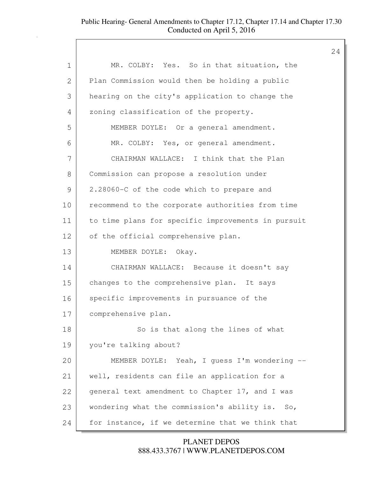|              |                                                    | 24 |
|--------------|----------------------------------------------------|----|
| $\mathbf 1$  | MR. COLBY: Yes. So in that situation, the          |    |
| $\mathbf{2}$ | Plan Commission would then be holding a public     |    |
| 3            | hearing on the city's application to change the    |    |
| 4            | zoning classification of the property.             |    |
| 5            | MEMBER DOYLE: Or a general amendment.              |    |
| 6            | MR. COLBY: Yes, or general amendment.              |    |
| 7            | CHAIRMAN WALLACE: I think that the Plan            |    |
| 8            | Commission can propose a resolution under          |    |
| 9            | 2.28060-C of the code which to prepare and         |    |
| 10           | recommend to the corporate authorities from time   |    |
| 11           | to time plans for specific improvements in pursuit |    |
| 12           | of the official comprehensive plan.                |    |
| 13           | MEMBER DOYLE: Okay.                                |    |
| 14           | CHAIRMAN WALLACE: Because it doesn't say           |    |
| 15           | changes to the comprehensive plan. It says         |    |
| 16           | specific improvements in pursuance of the          |    |
| 17           | comprehensive plan.                                |    |
| 18           | So is that along the lines of what                 |    |
| 19           | you're talking about?                              |    |
| 20           | MEMBER DOYLE: Yeah, I guess I'm wondering --       |    |
| 21           | well, residents can file an application for a      |    |
| 22           | general text amendment to Chapter 17, and I was    |    |
| 23           | wondering what the commission's ability is. So,    |    |
| 24           | for instance, if we determine that we think that   |    |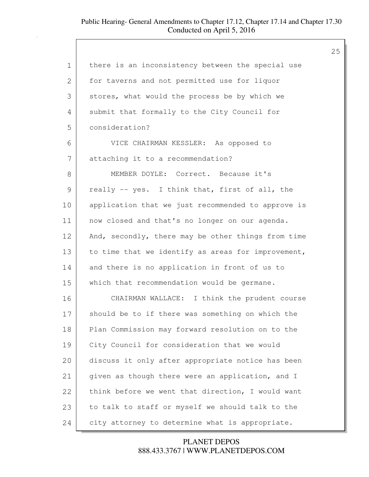| 1             | there is an inconsistency between the special use  |
|---------------|----------------------------------------------------|
| 2             | for taverns and not permitted use for liquor       |
| 3             | stores, what would the process be by which we      |
| 4             | submit that formally to the City Council for       |
| 5             | consideration?                                     |
| 6             | VICE CHAIRMAN KESSLER: As opposed to               |
| 7             | attaching it to a recommendation?                  |
| 8             | MEMBER DOYLE: Correct. Because it's                |
| $\mathcal{G}$ | really -- yes. I think that, first of all, the     |
| 10            | application that we just recommended to approve is |
| 11            | now closed and that's no longer on our agenda.     |
| 12            | And, secondly, there may be other things from time |
| 13            | to time that we identify as areas for improvement, |
| 14            | and there is no application in front of us to      |
| 15            | which that recommendation would be germane.        |
| 16            | CHAIRMAN WALLACE: I think the prudent course       |
| 17            | should be to if there was something on which the   |
| 18            | Plan Commission may forward resolution on to the   |
| 19            | City Council for consideration that we would       |
| 20            | discuss it only after appropriate notice has been  |
| 21            | given as though there were an application, and I   |
| 22            | think before we went that direction, I would want  |
| 23            | to talk to staff or myself we should talk to the   |
| 24            | city attorney to determine what is appropriate.    |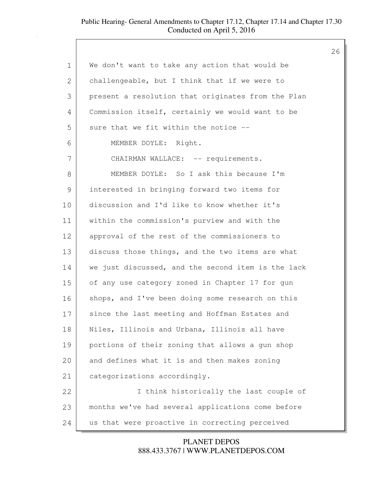|             |                                                    | 26 |
|-------------|----------------------------------------------------|----|
| $\mathbf 1$ | We don't want to take any action that would be     |    |
| 2           | challengeable, but I think that if we were to      |    |
| 3           | present a resolution that originates from the Plan |    |
| 4           | Commission itself, certainly we would want to be   |    |
| 5           | sure that we fit within the notice --              |    |
| 6           | MEMBER DOYLE: Right.                               |    |
| 7           | CHAIRMAN WALLACE: -- requirements.                 |    |
| 8           | MEMBER DOYLE: So I ask this because I'm            |    |
| 9           | interested in bringing forward two items for       |    |
| 10          | discussion and I'd like to know whether it's       |    |
| 11          | within the commission's purview and with the       |    |
| 12          | approval of the rest of the commissioners to       |    |
| 13          | discuss those things, and the two items are what   |    |
| 14          | we just discussed, and the second item is the lack |    |
| 15          | of any use category zoned in Chapter 17 for gun    |    |
| 16          | shops, and I've been doing some research on this   |    |
| 17          | since the last meeting and Hoffman Estates and     |    |
| 18          | Niles, Illinois and Urbana, Illinois all have      |    |
| 19          | portions of their zoning that allows a gun shop    |    |
| 20          | and defines what it is and then makes zoning       |    |
| 21          | categorizations accordingly.                       |    |
| 22          | I think historically the last couple of            |    |
| 23          | months we've had several applications come before  |    |
| 24          | us that were proactive in correcting perceived     |    |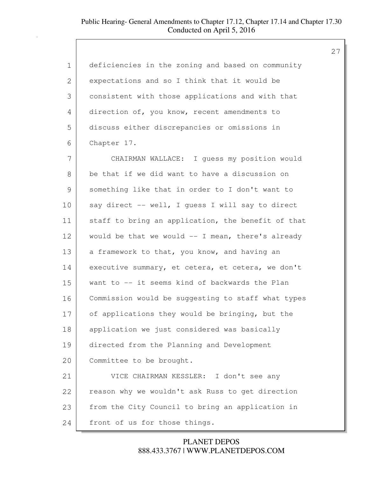| deficiencies in the zoning and based on community  |
|----------------------------------------------------|
| expectations and so I think that it would be       |
| consistent with those applications and with that   |
| direction of, you know, recent amendments to       |
| discuss either discrepancies or omissions in       |
| Chapter 17.                                        |
| CHAIRMAN WALLACE: I quess my position would        |
| be that if we did want to have a discussion on     |
| something like that in order to I don't want to    |
| say direct -- well, I quess I will say to direct   |
| staff to bring an application, the benefit of that |
| would be that we would -- I mean, there's already  |
| a framework to that, you know, and having an       |
| executive summary, et cetera, et cetera, we don't  |
| want to -- it seems kind of backwards the Plan     |
| Commission would be suggesting to staff what types |
| of applications they would be bringing, but the    |
| application we just considered was basically       |
| directed from the Planning and Development         |
| Committee to be brought.                           |
| VICE CHAIRMAN KESSLER: I don't see any             |
| reason why we wouldn't ask Russ to get direction   |
| from the City Council to bring an application in   |
| front of us for those things.                      |
|                                                    |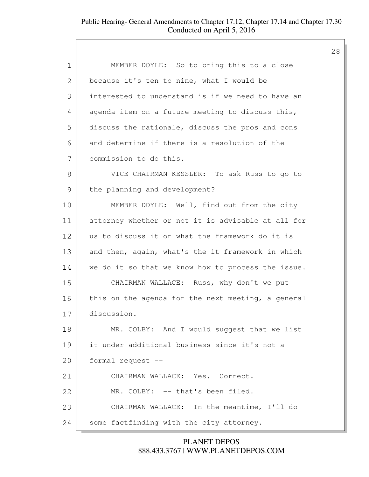| 1  | MEMBER DOYLE: So to bring this to a close          |
|----|----------------------------------------------------|
| 2  | because it's ten to nine, what I would be          |
| 3  | interested to understand is if we need to have an  |
| 4  | agenda item on a future meeting to discuss this,   |
| 5  | discuss the rationale, discuss the pros and cons   |
| 6  | and determine if there is a resolution of the      |
| 7  | commission to do this.                             |
| 8  | VICE CHAIRMAN KESSLER: To ask Russ to go to        |
| 9  | the planning and development?                      |
| 10 | MEMBER DOYLE: Well, find out from the city         |
| 11 | attorney whether or not it is advisable at all for |
| 12 | us to discuss it or what the framework do it is    |
| 13 | and then, again, what's the it framework in which  |
| 14 | we do it so that we know how to process the issue. |
| 15 | CHAIRMAN WALLACE: Russ, why don't we put           |
| 16 | this on the agenda for the next meeting, a general |
| 17 | discussion.                                        |
| 18 | MR. COLBY: And I would suggest that we list        |
| 19 | it under additional business since it's not a      |
| 20 | formal request --                                  |
| 21 | CHAIRMAN WALLACE: Yes. Correct.                    |
| 22 | MR. COLBY: -- that's been filed.                   |
| 23 | CHAIRMAN WALLACE: In the meantime, I'll do         |
| 24 | some factfinding with the city attorney.           |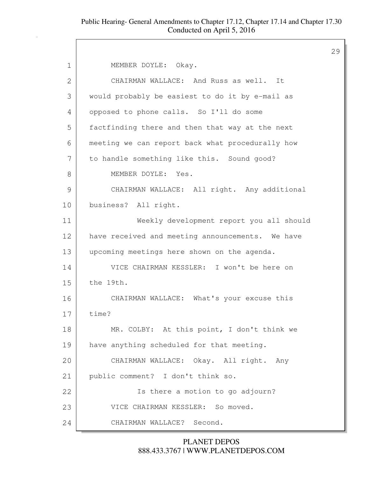29 1 | MEMBER DOYLE: Okay. 2 CHAIRMAN WALLACE: And Russ as well. It 3 would probably be easiest to do it by e-mail as 4 opposed to phone calls. So I'll do some 5 factfinding there and then that way at the next 6 meeting we can report back what procedurally how 7 to handle something like this. Sound good? 8 MEMBER DOYLE: Yes. 9 CHAIRMAN WALLACE: All right. Any additional 10 business? All right. 11 Weekly development report you all should 12 have received and meeting announcements. We have 13 upcoming meetings here shown on the agenda. 14 VICE CHAIRMAN KESSLER: I won't be here on 15 the 19th. 16 CHAIRMAN WALLACE: What's your excuse this 17 time? 18 MR. COLBY: At this point, I don't think we 19 have anything scheduled for that meeting. 20 CHAIRMAN WALLACE: Okay. All right. Any 21 public comment? I don't think so. 22 | South State a motion to go adjourn? 23 VICE CHAIRMAN KESSLER: So moved. 24 CHAIRMAN WALLACE? Second.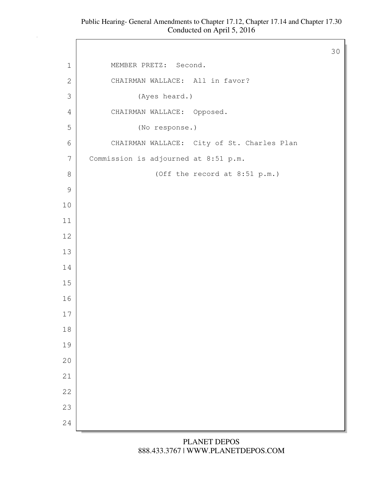$\Gamma$ 

|                |                                            | 30 |
|----------------|--------------------------------------------|----|
| $\mathbf 1$    | MEMBER PRETZ: Second.                      |    |
| $\mathbf{2}$   | CHAIRMAN WALLACE: All in favor?            |    |
| $\mathfrak{Z}$ | (Ayes heard.)                              |    |
| 4              | CHAIRMAN WALLACE: Opposed.                 |    |
| 5              | (No response.)                             |    |
| $\sqrt{6}$     | CHAIRMAN WALLACE: City of St. Charles Plan |    |
| $\overline{7}$ | Commission is adjourned at 8:51 p.m.       |    |
| $8\,$          | (Off the record at 8:51 p.m.)              |    |
| $\mathcal{G}$  |                                            |    |
| $10$           |                                            |    |
| 11             |                                            |    |
| 12             |                                            |    |
| 13             |                                            |    |
| 14             |                                            |    |
| 15             |                                            |    |
| 16             |                                            |    |
| $17\,$         |                                            |    |
| $18\,$         |                                            |    |
| 19             |                                            |    |
| 20             |                                            |    |
| 21             |                                            |    |
| 22             |                                            |    |
| 23             |                                            |    |
| 24             |                                            |    |